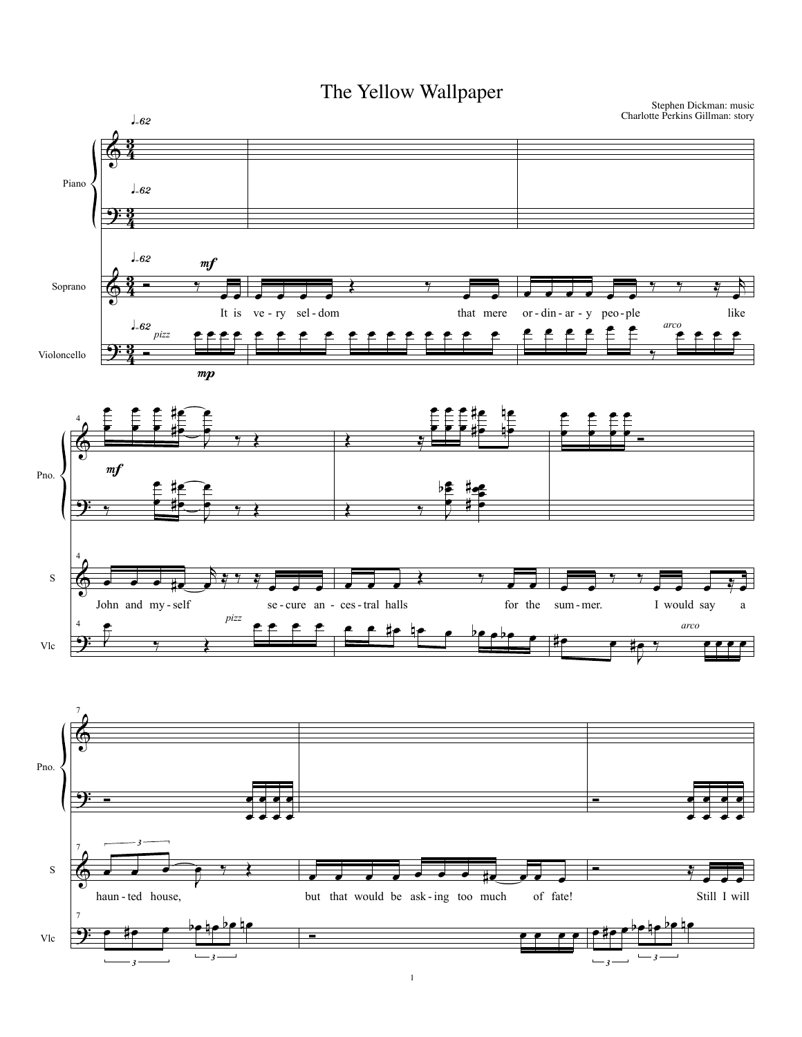## The Yellow Wallpaper

Stephen Dickman: music<br>Charlotte Perkins Gillman: story

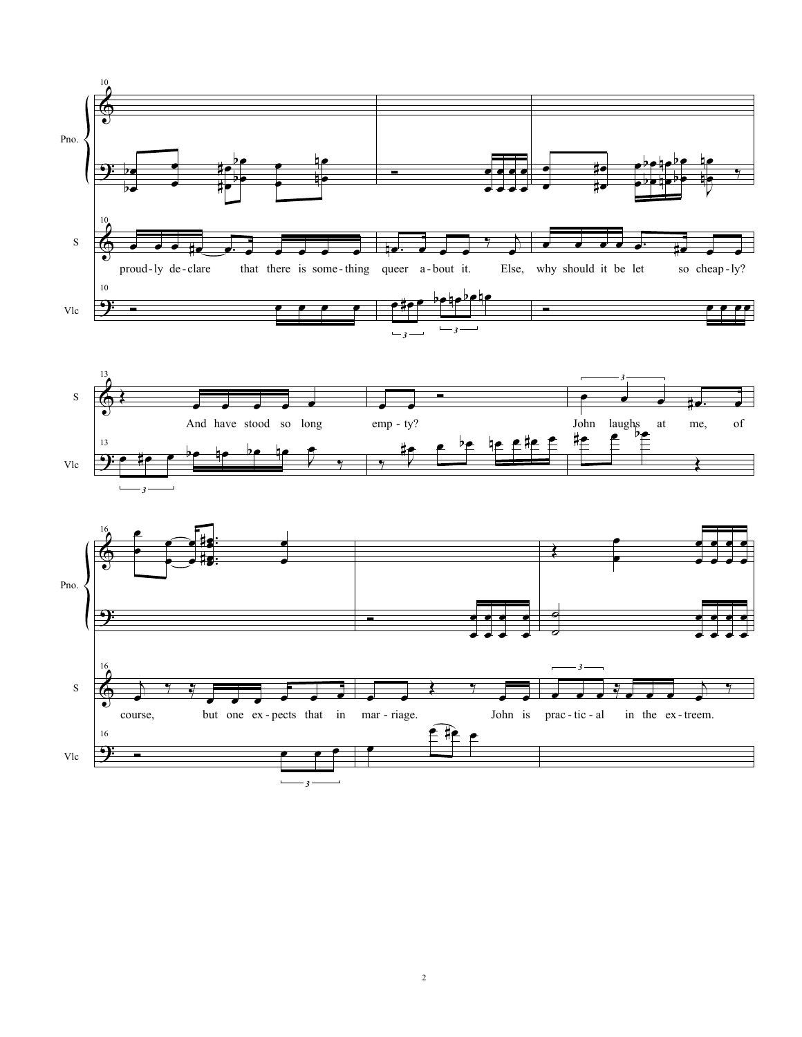



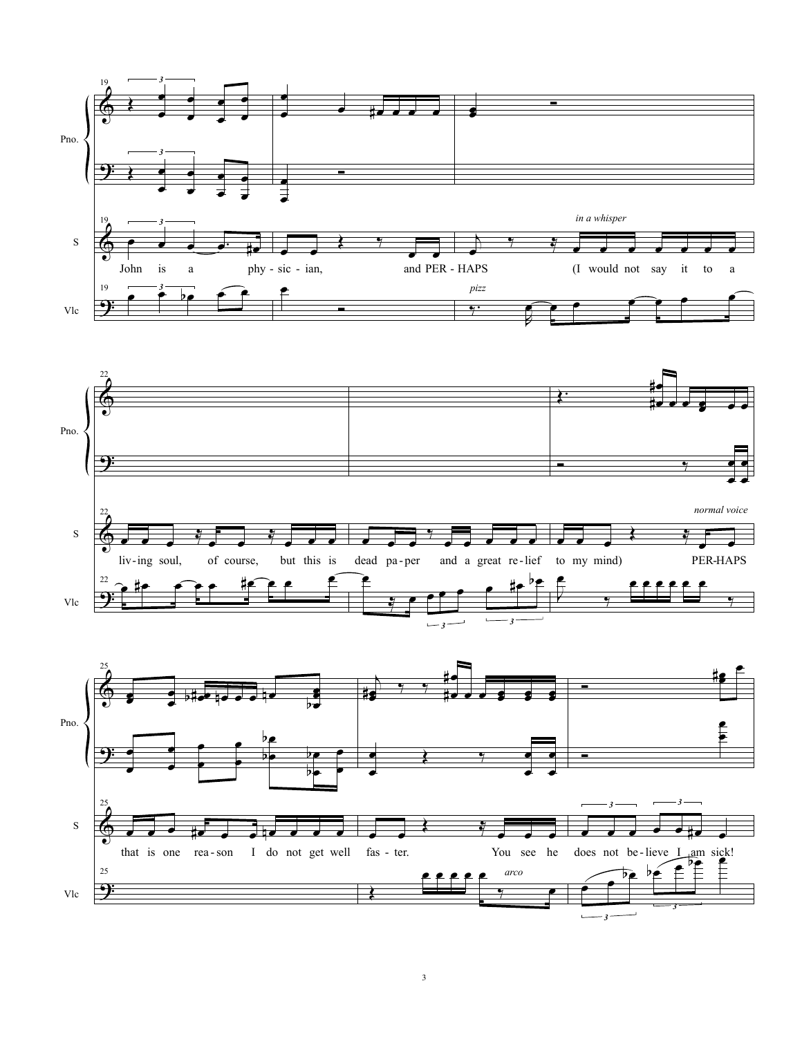

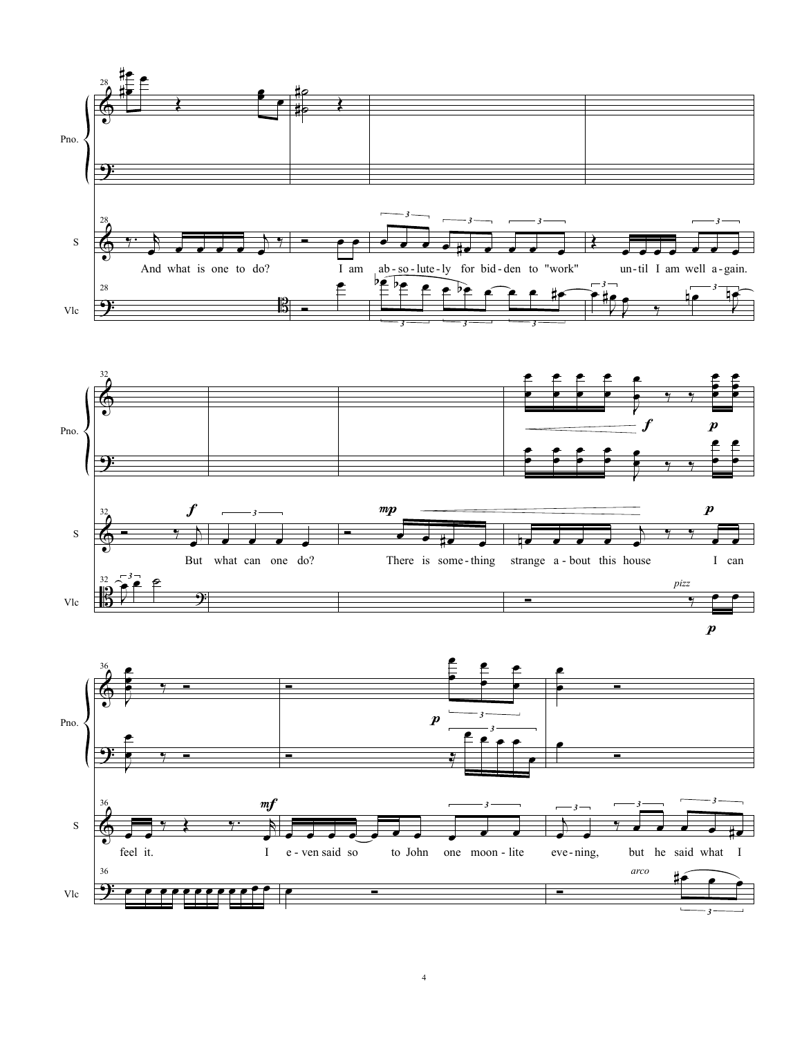



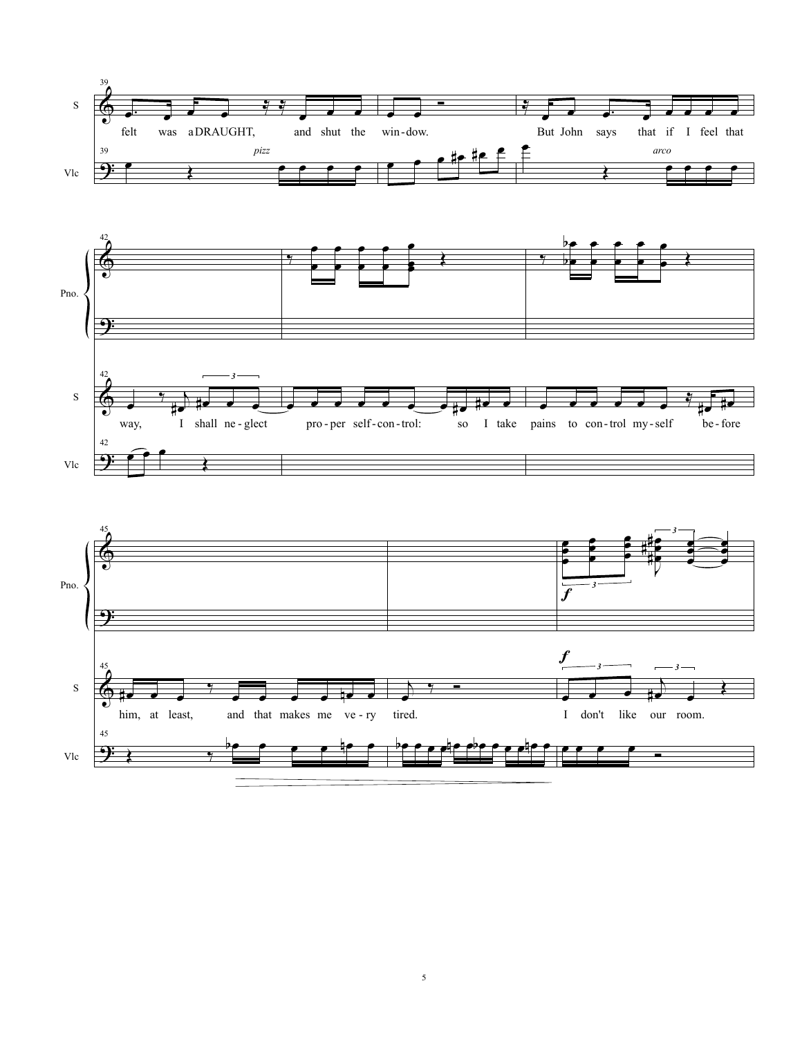



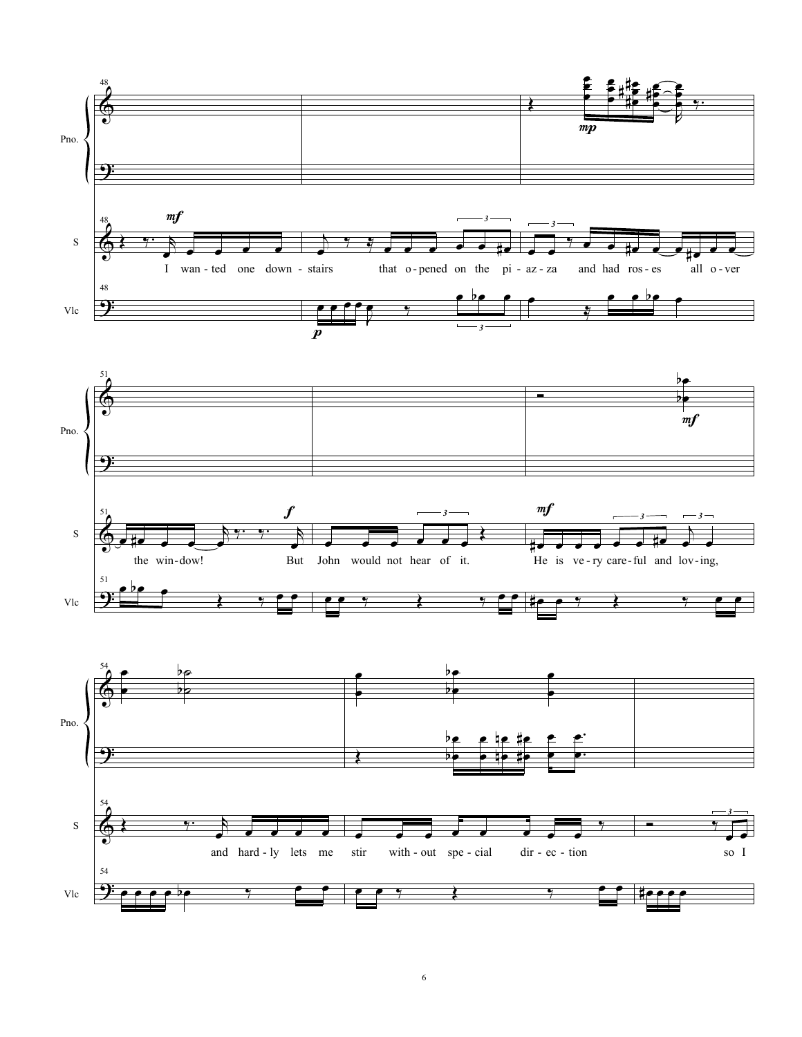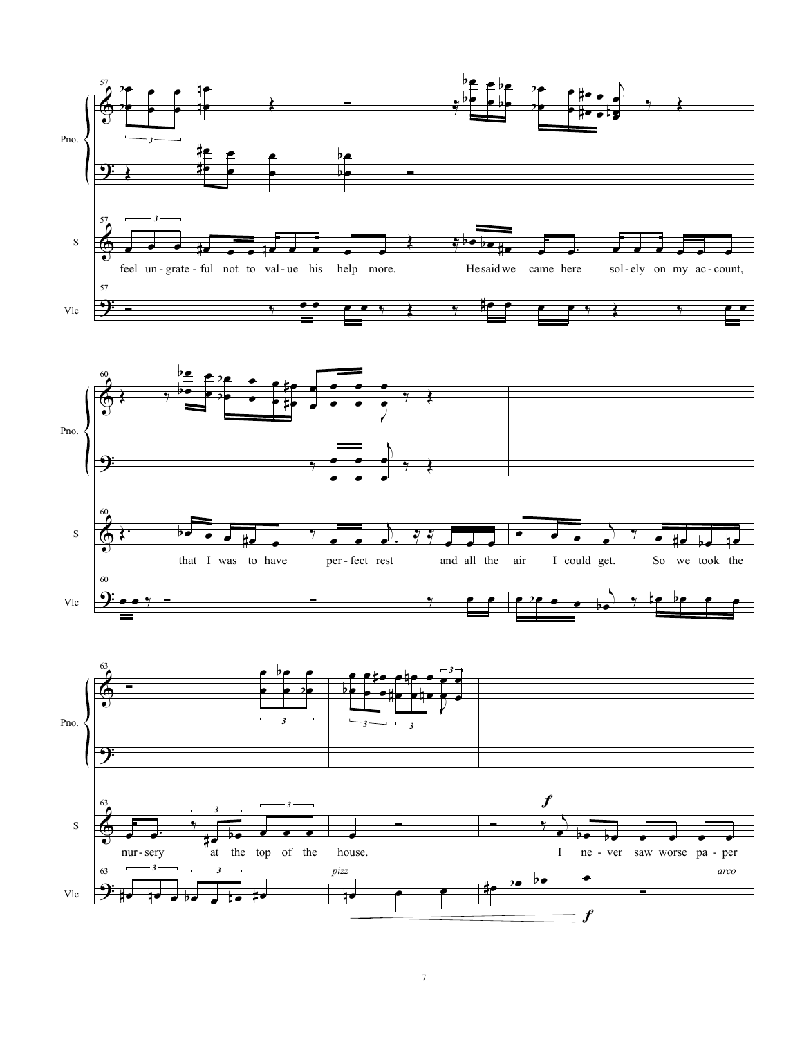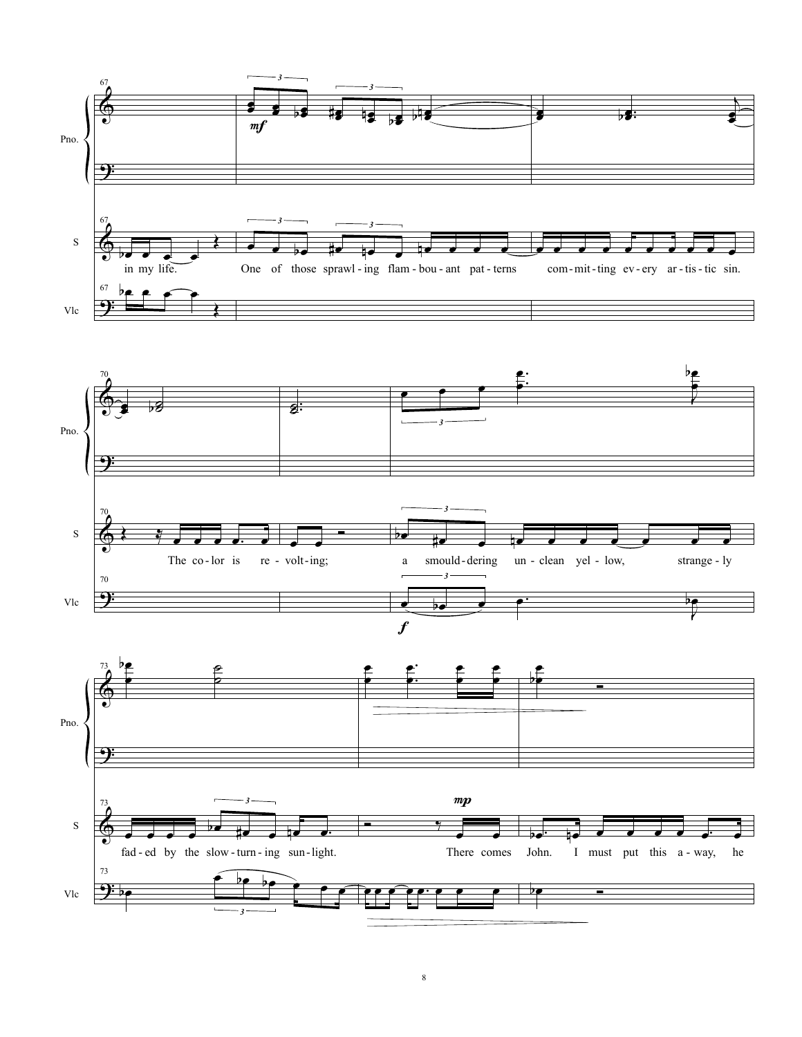



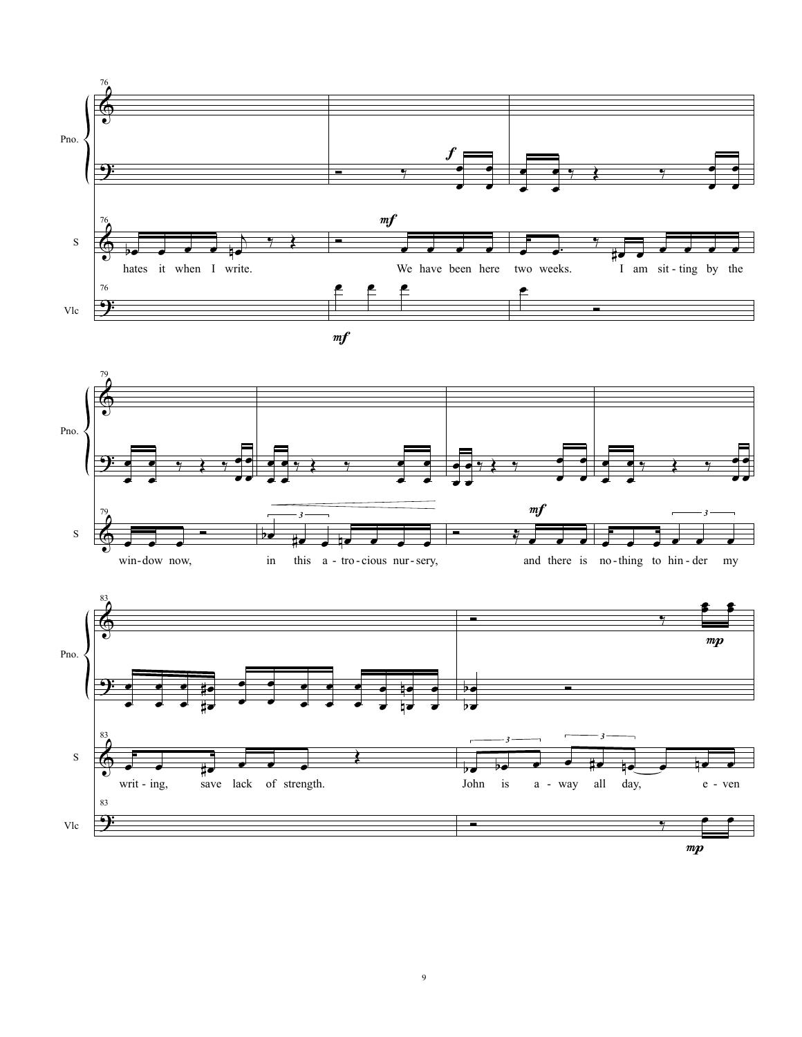





Vlc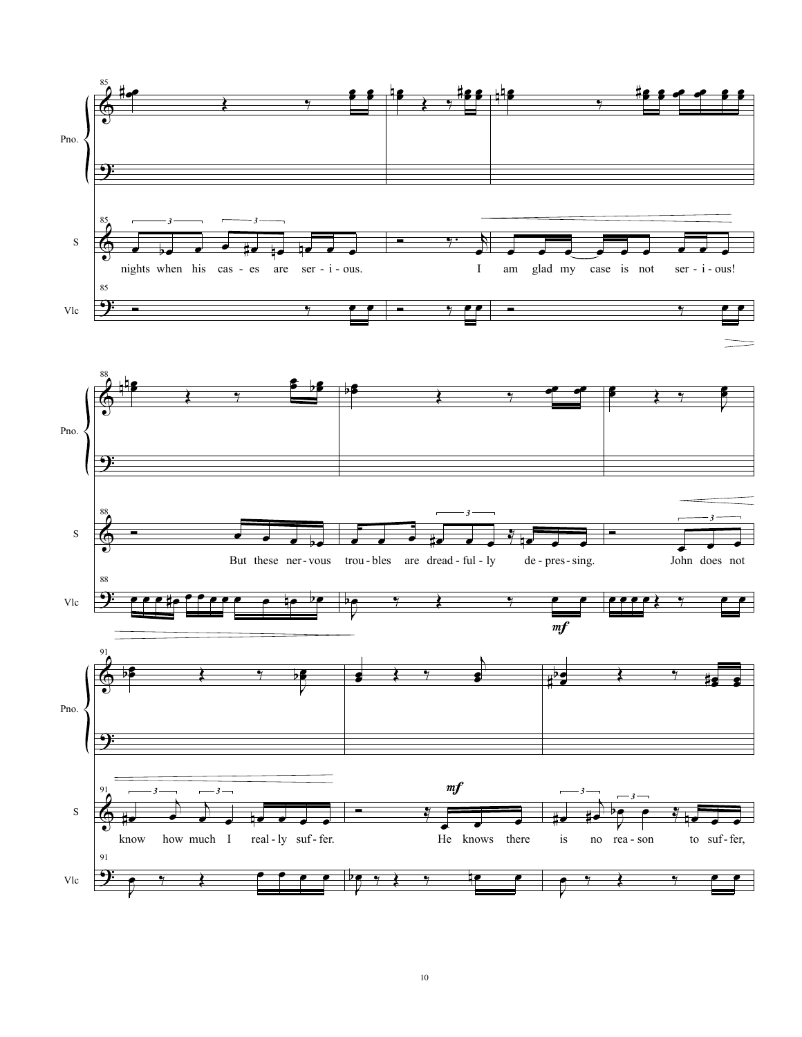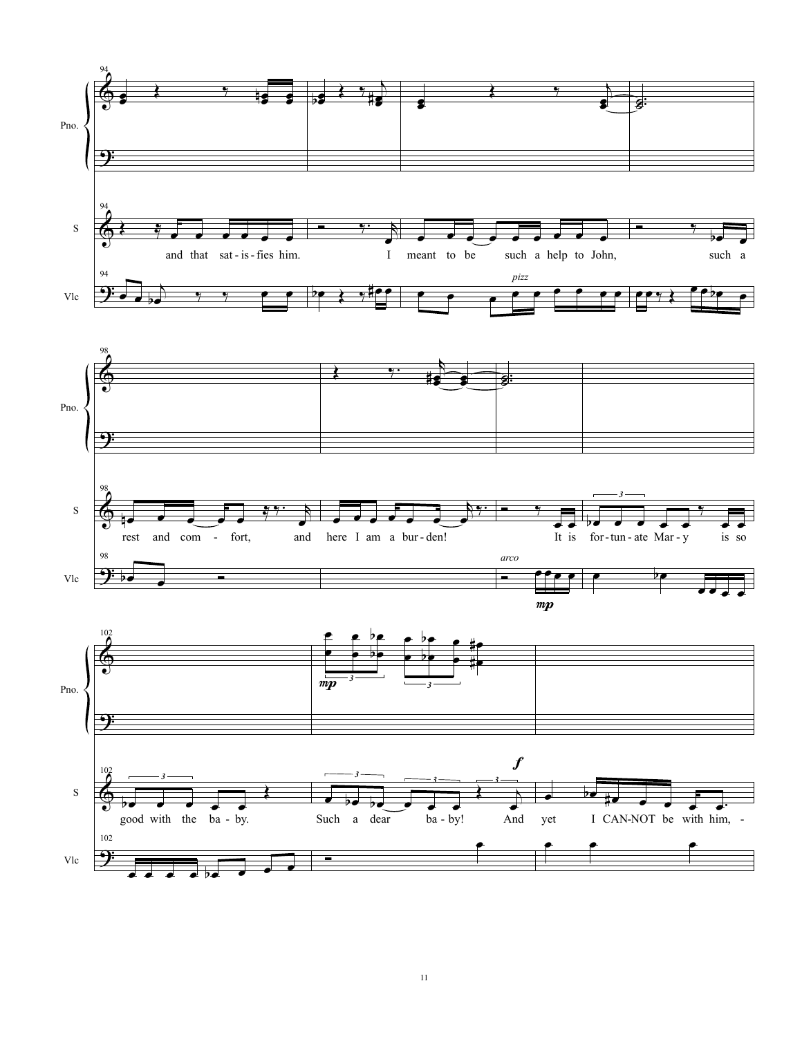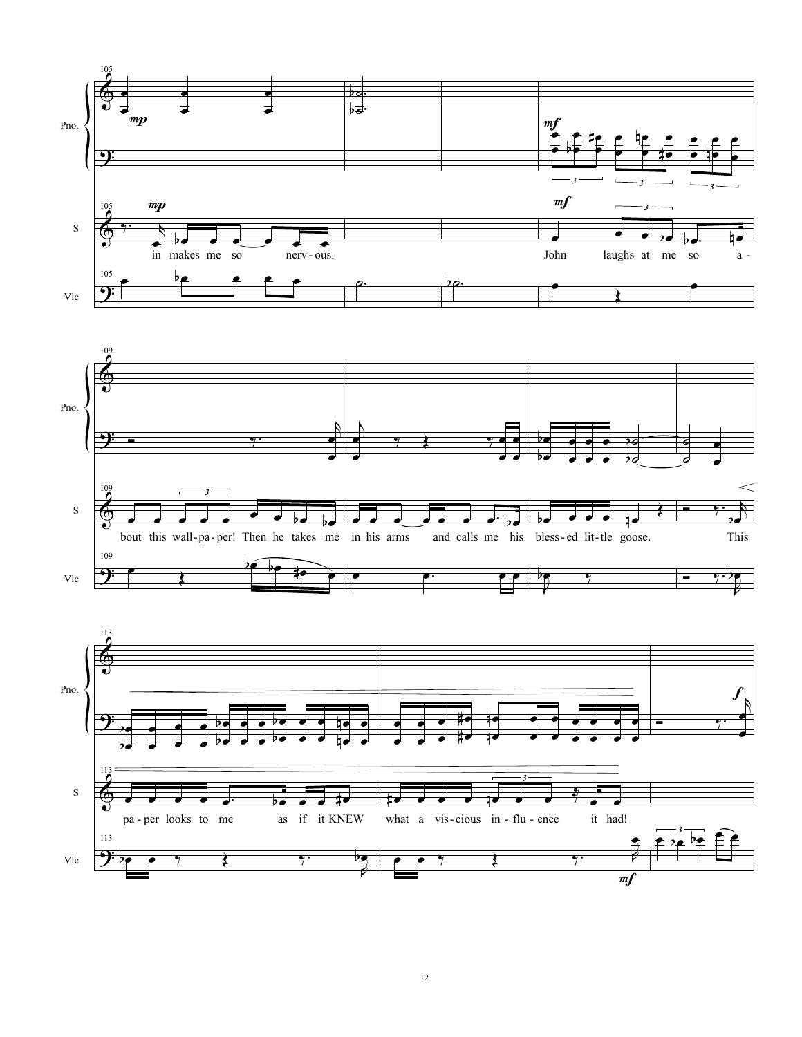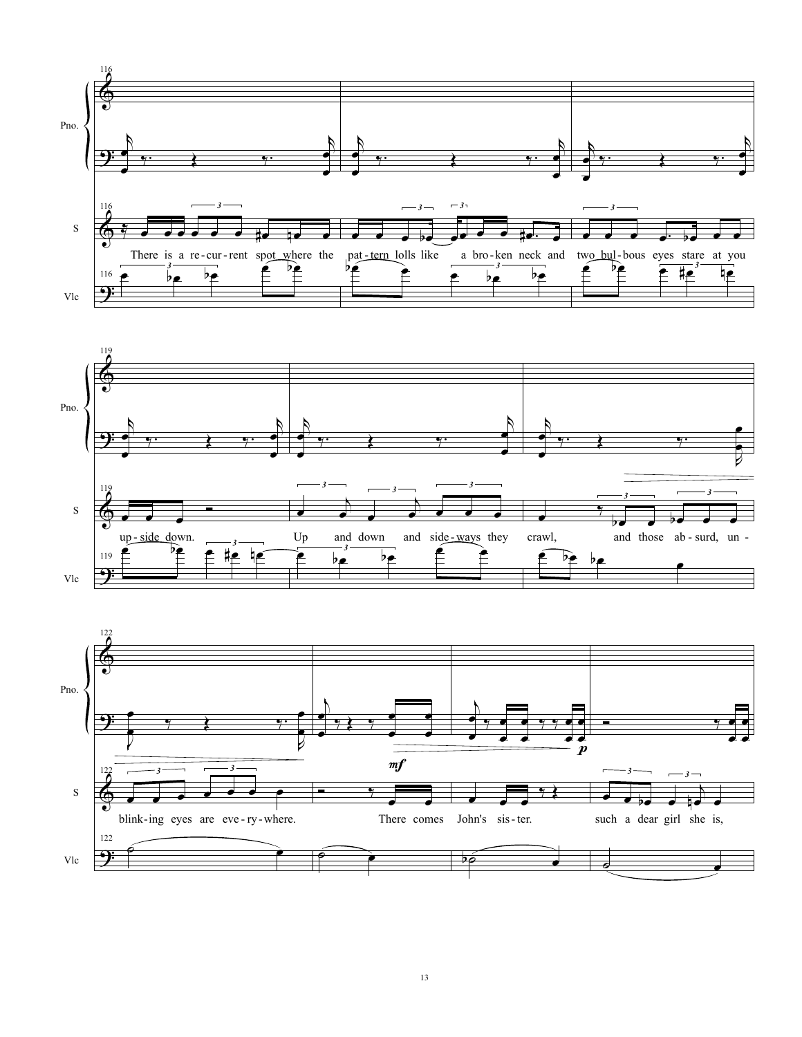

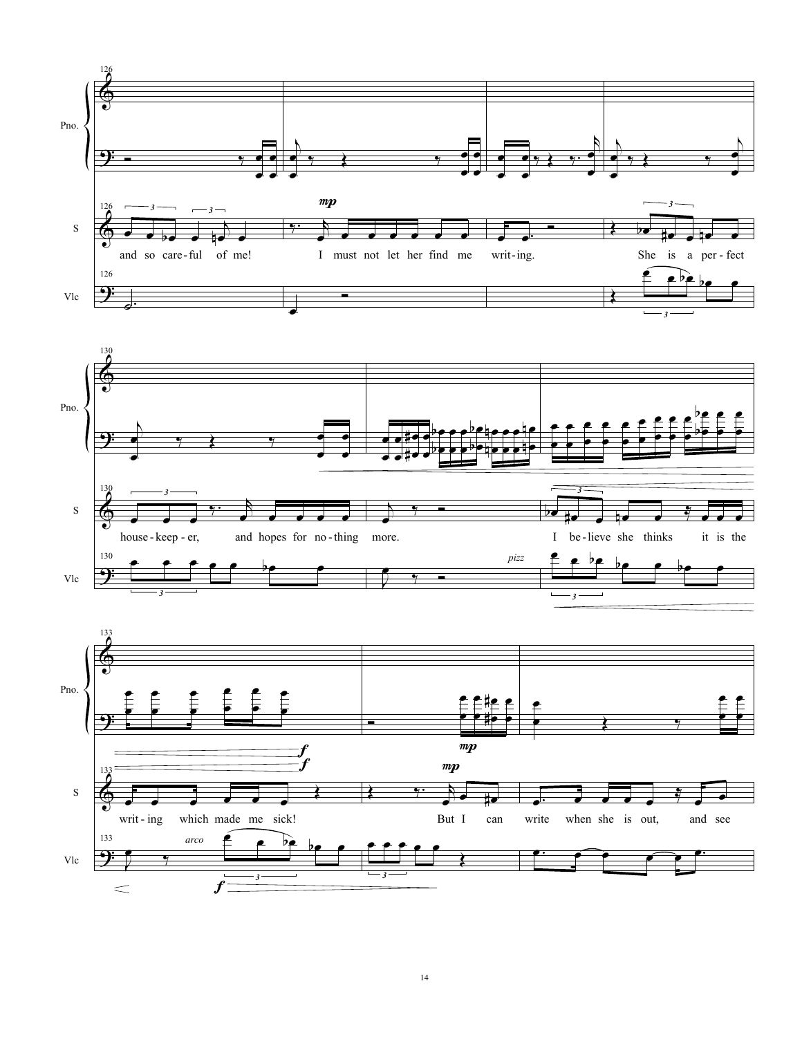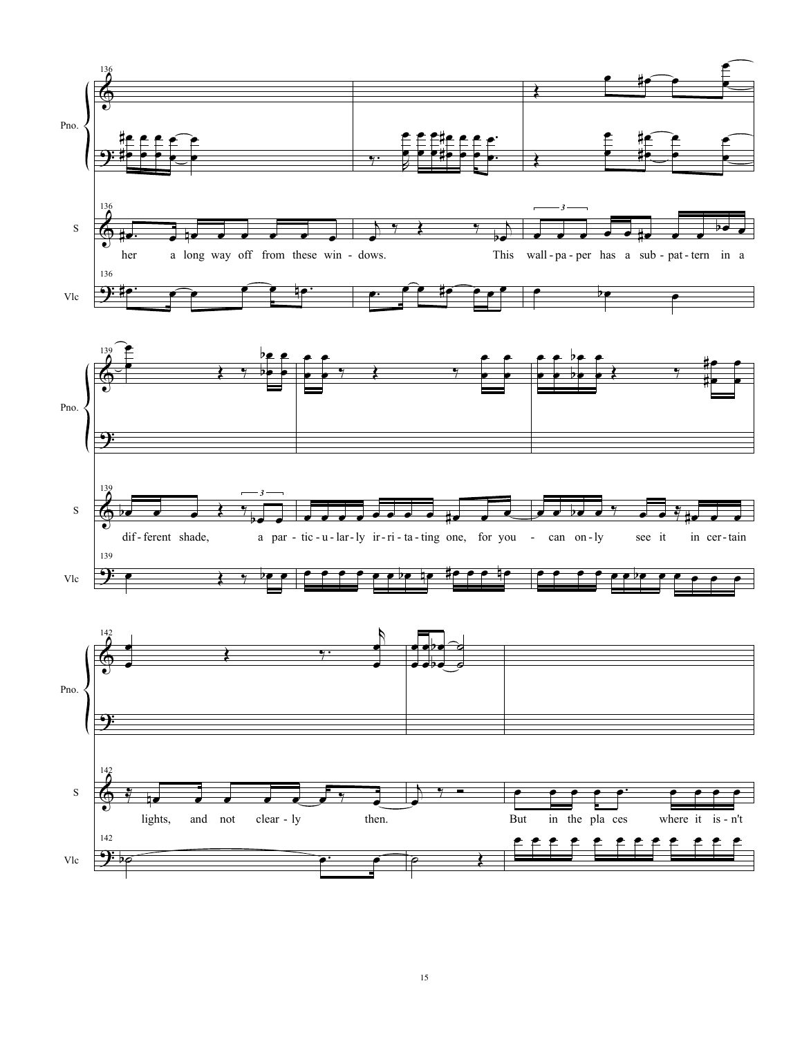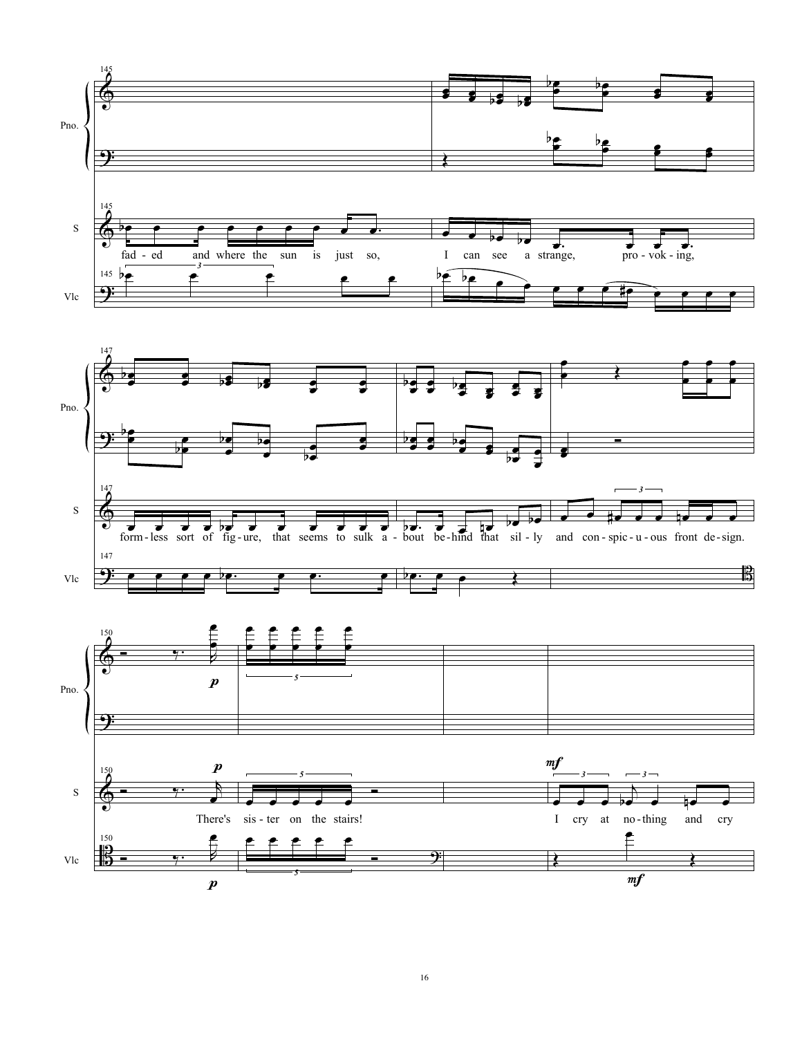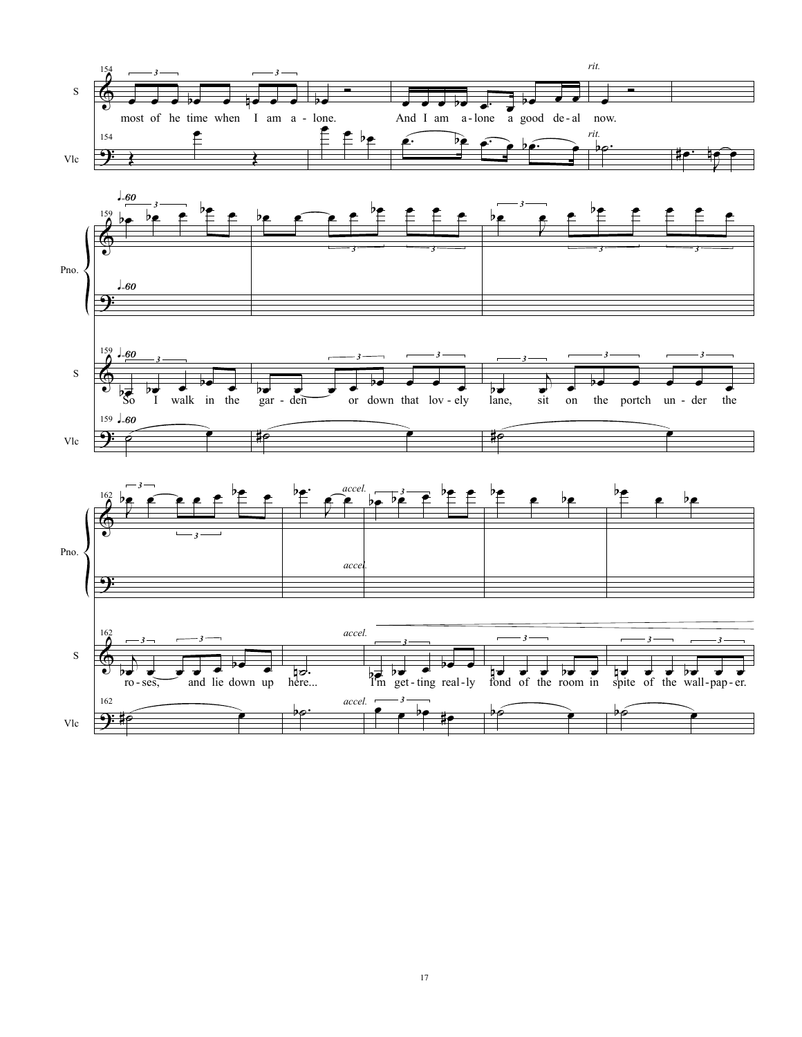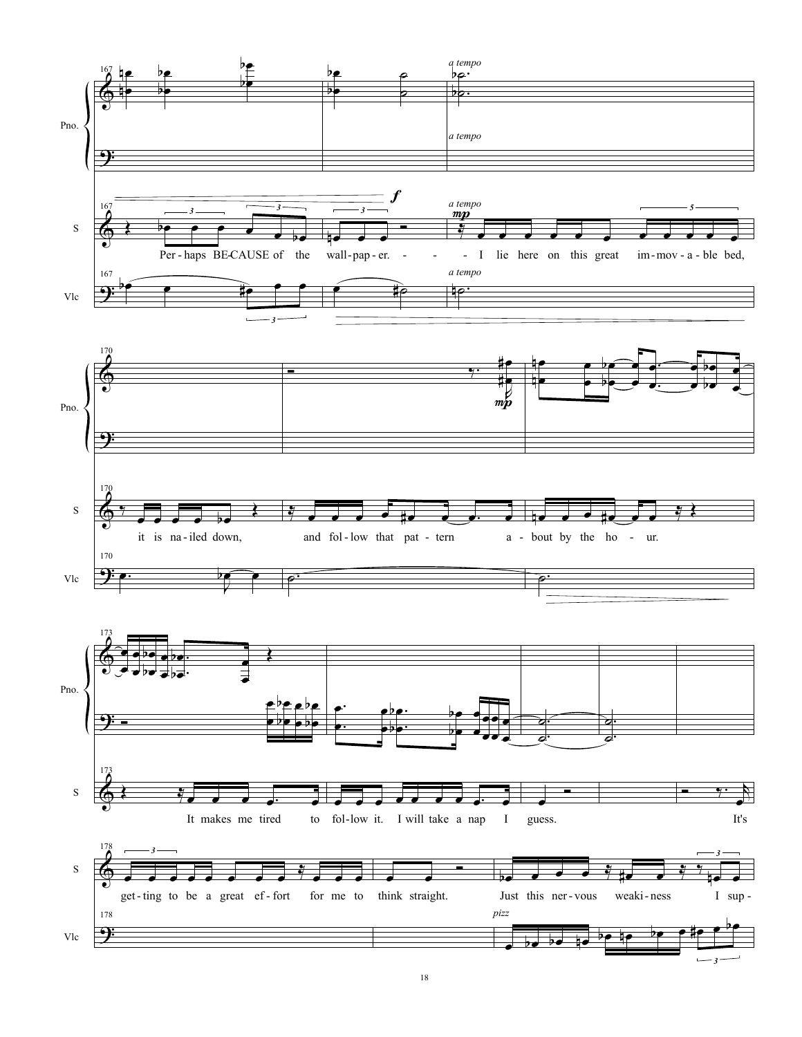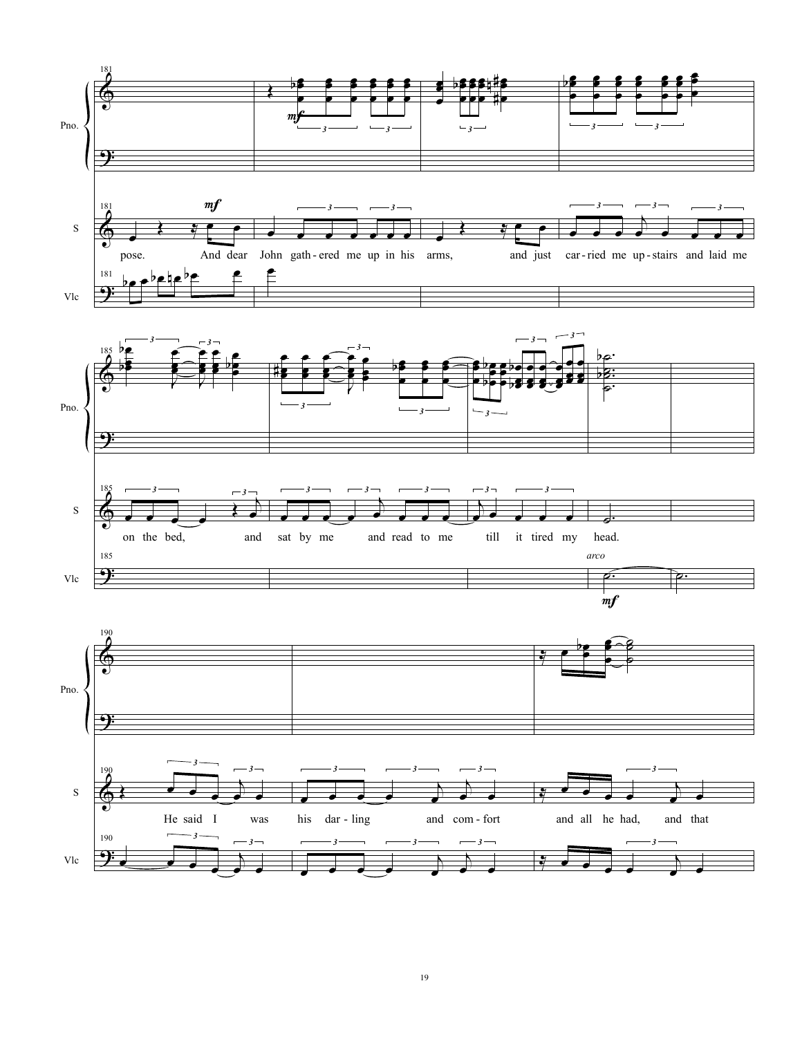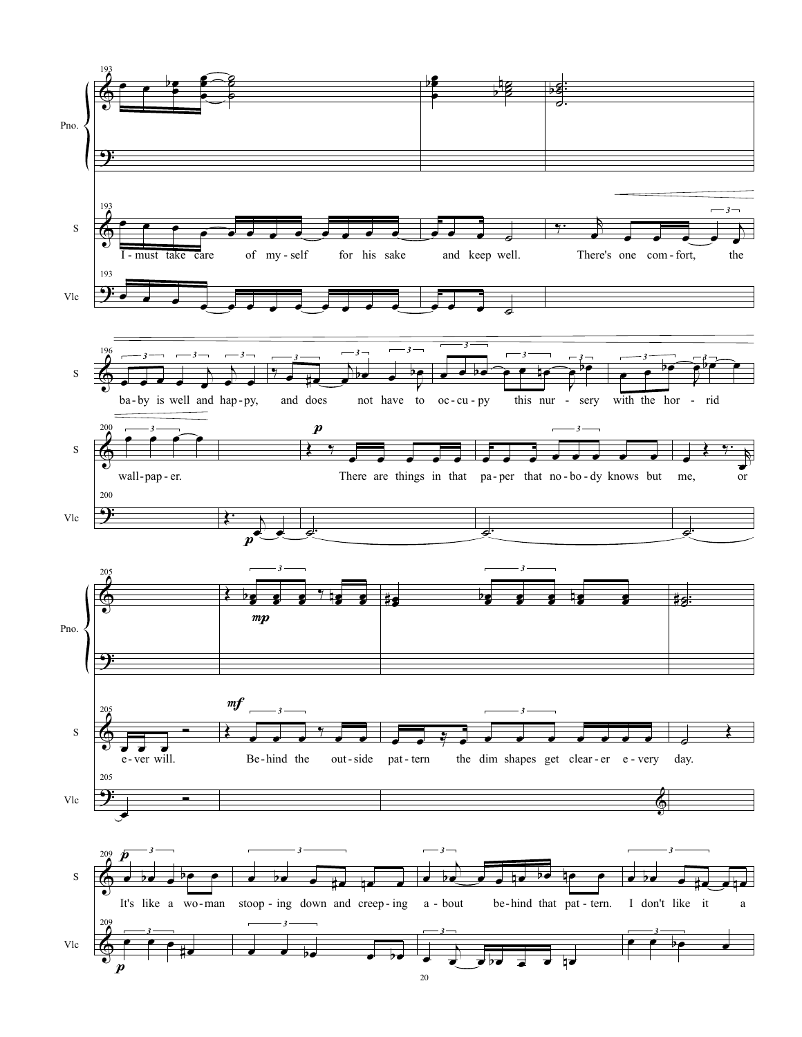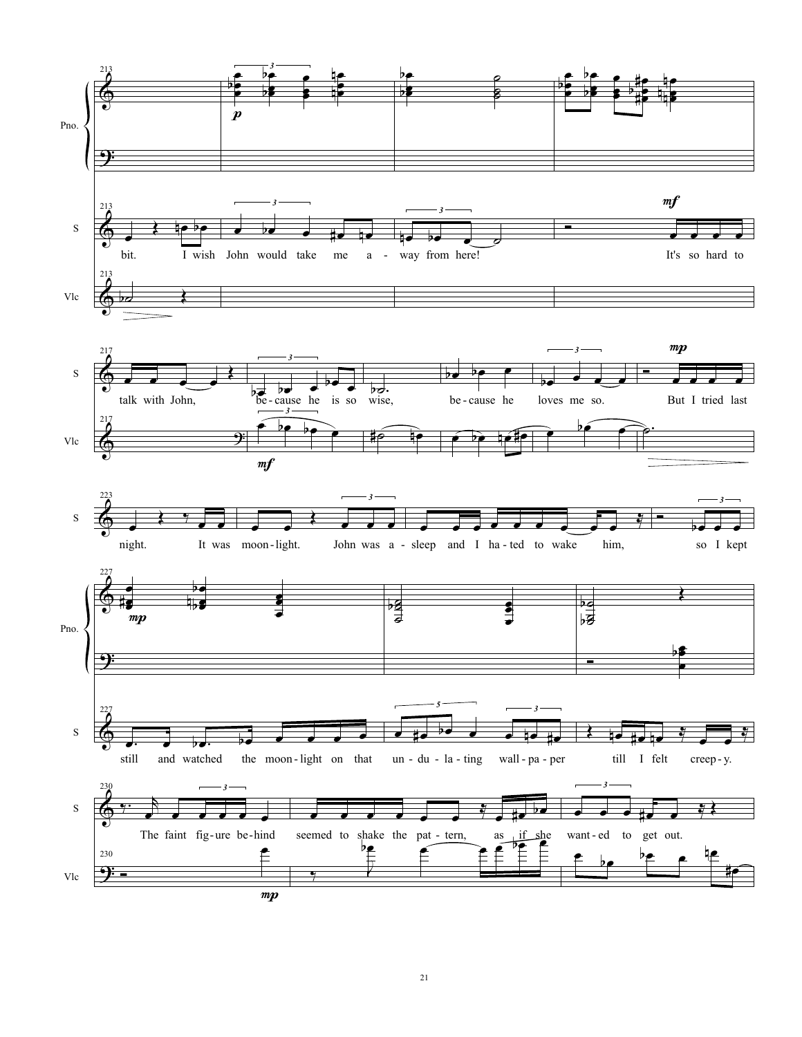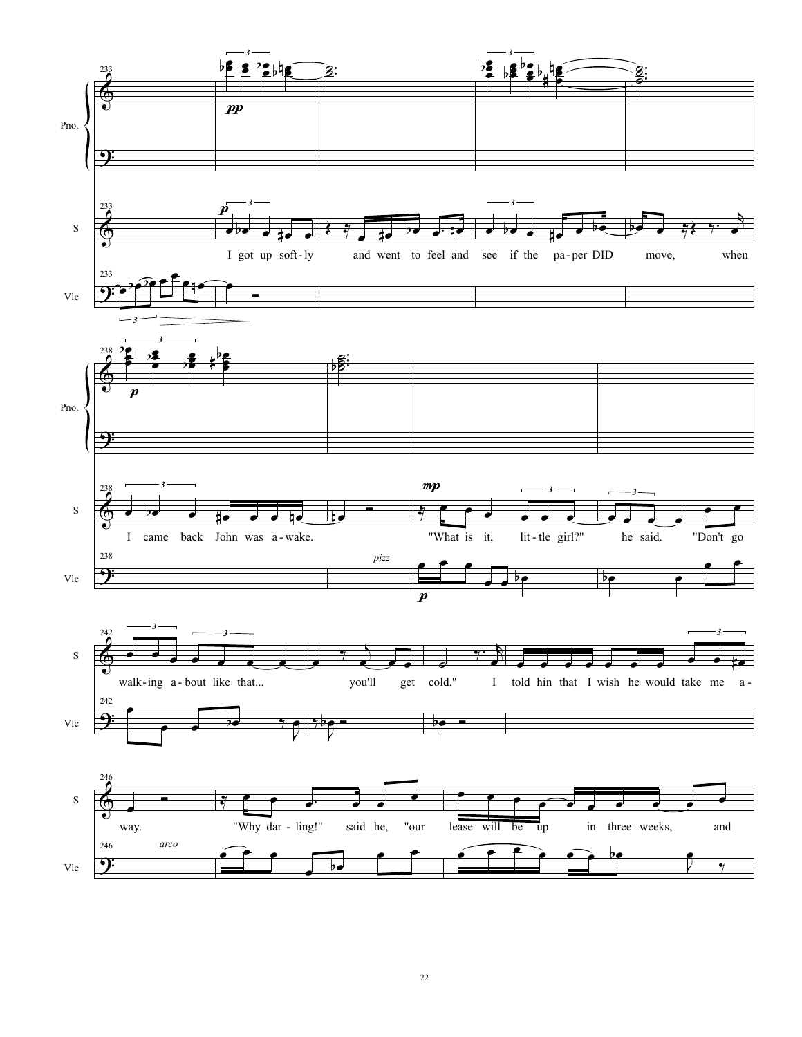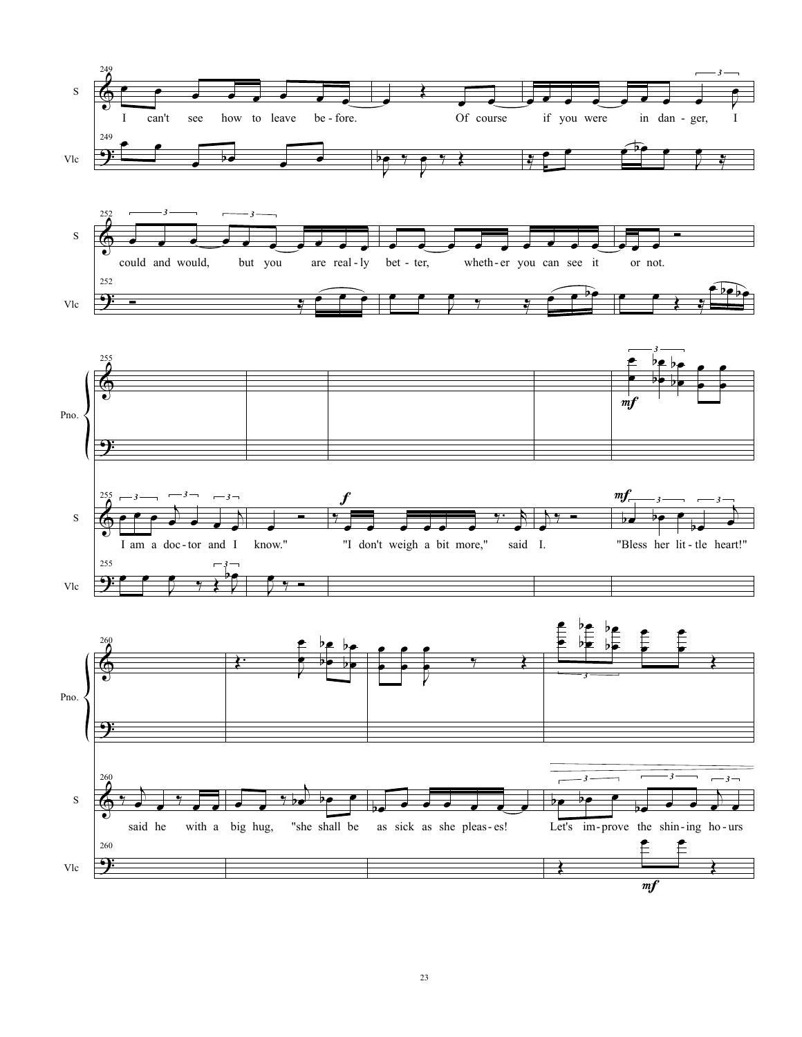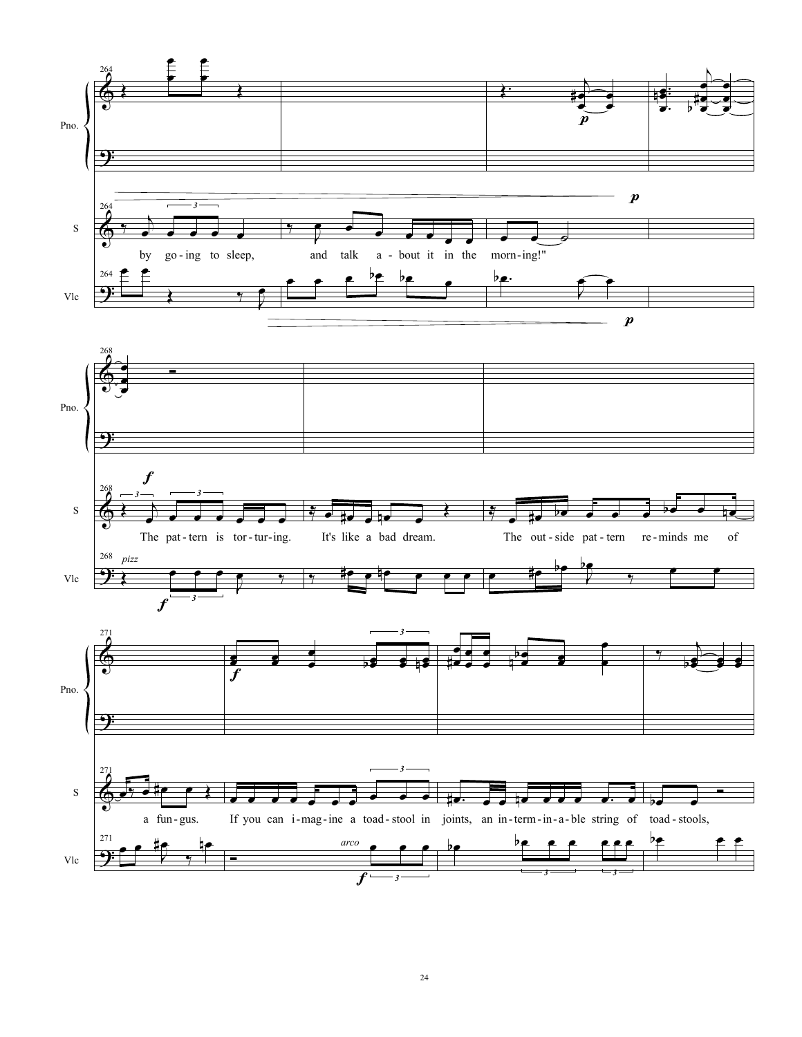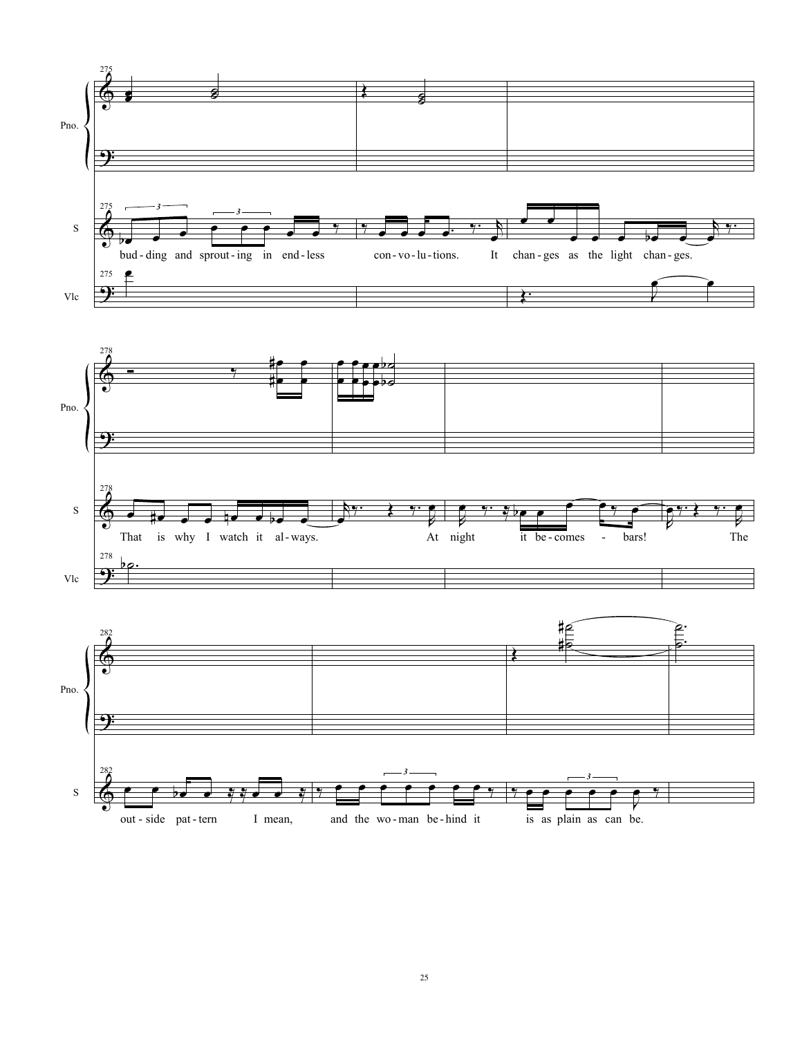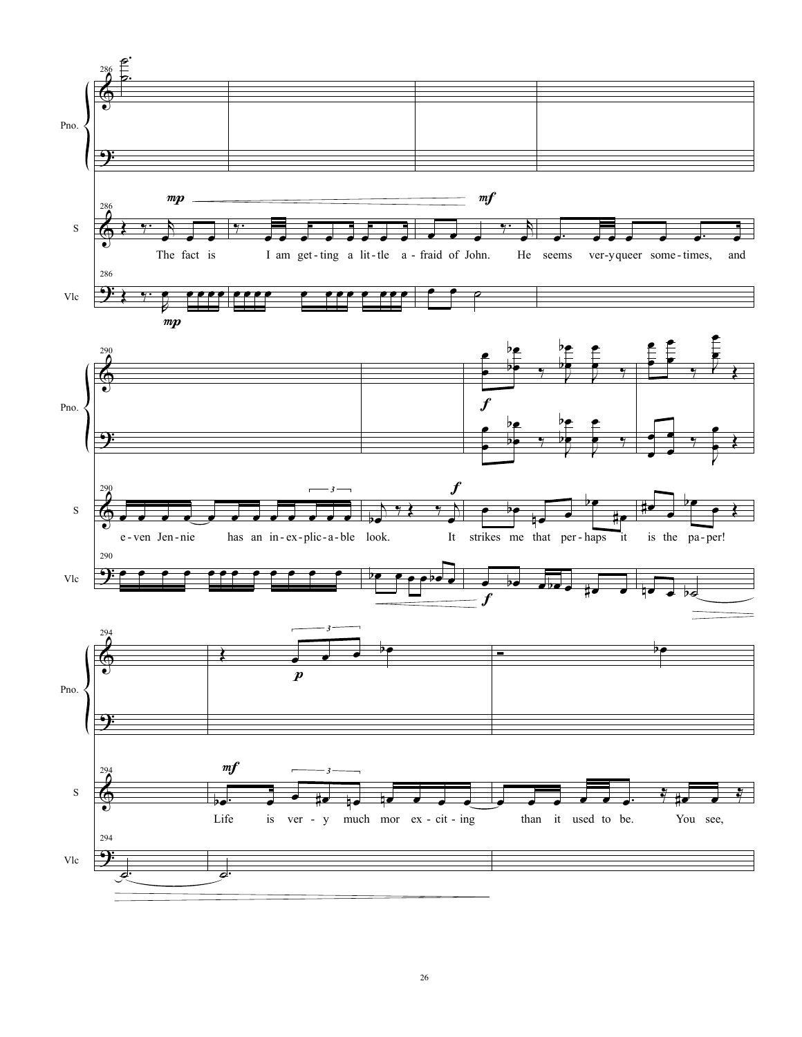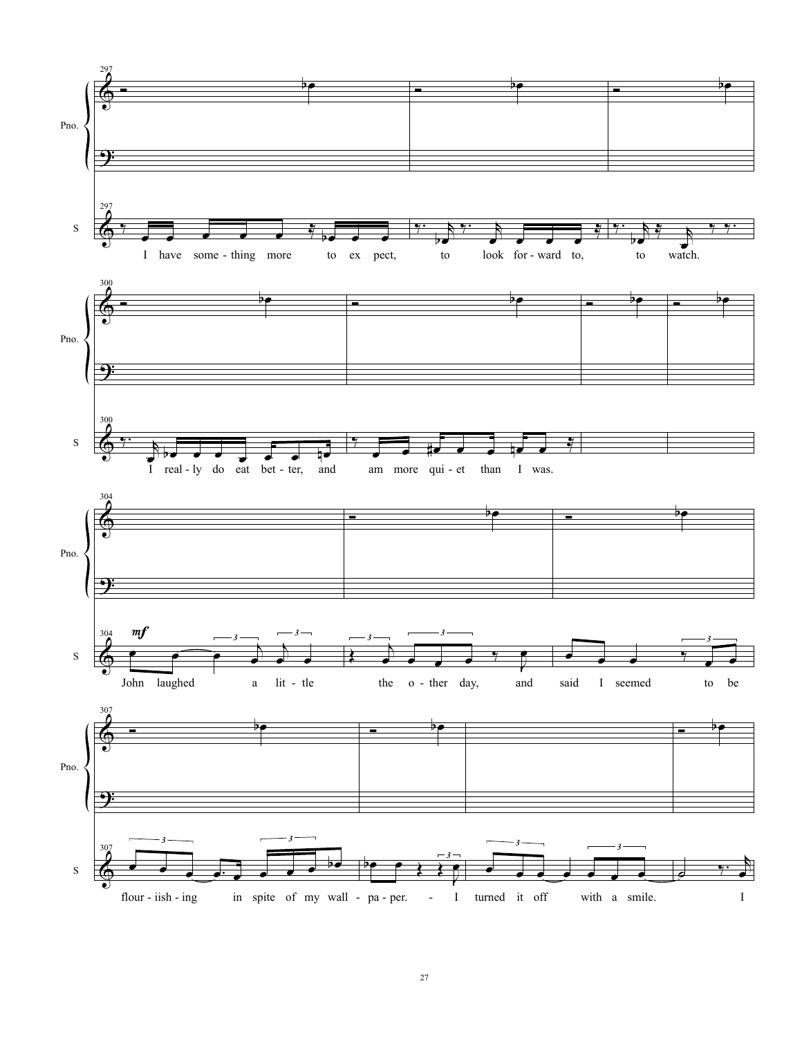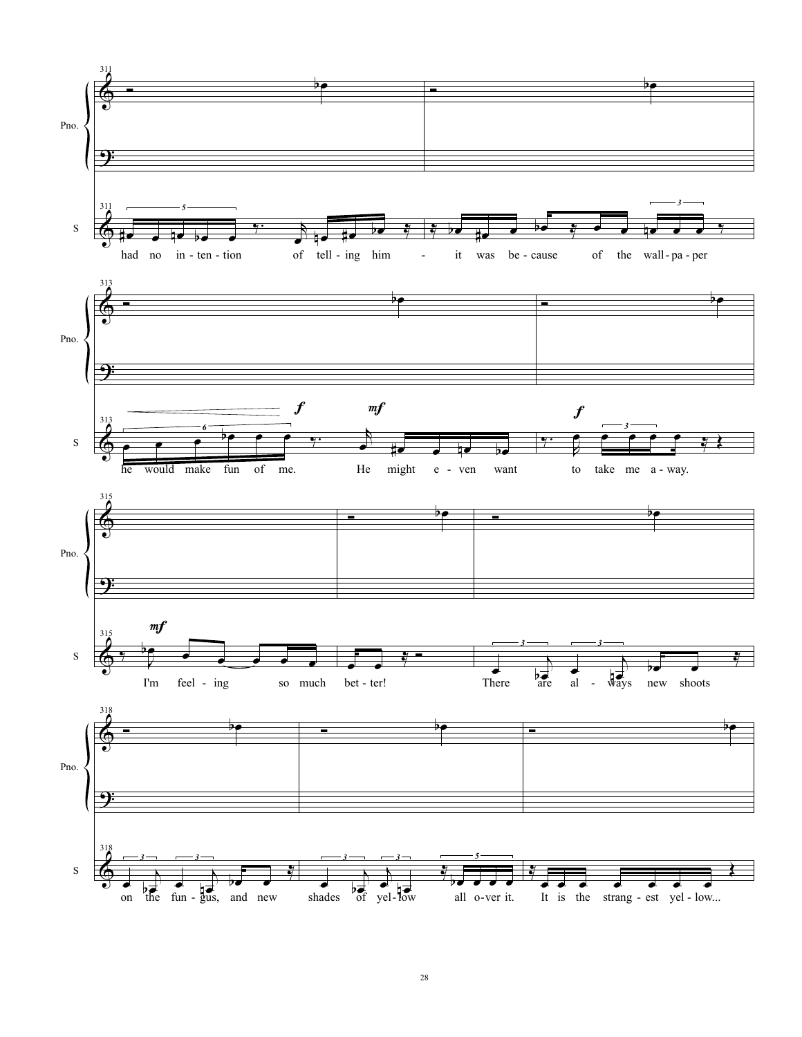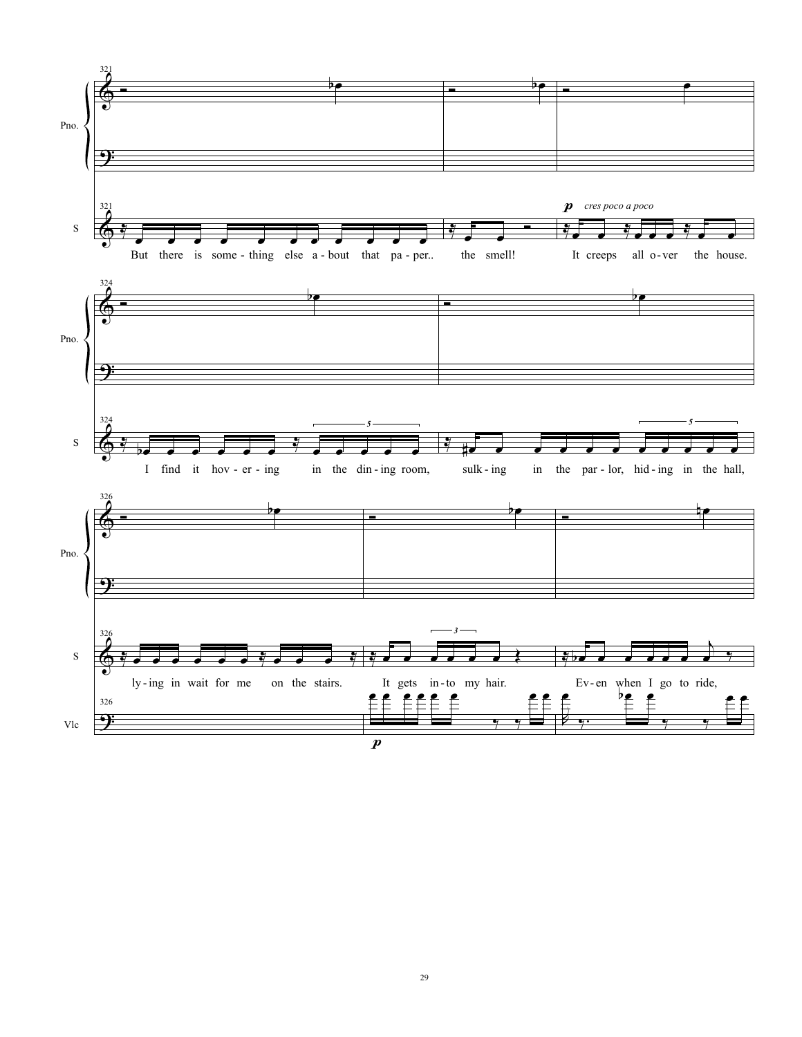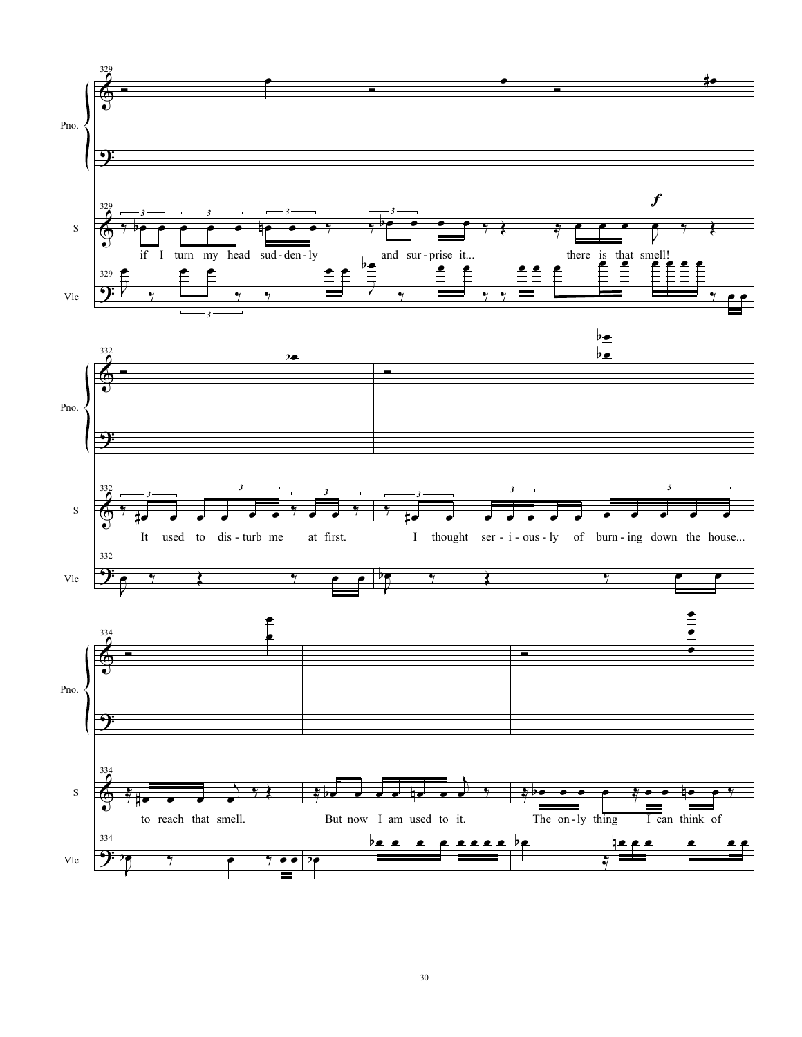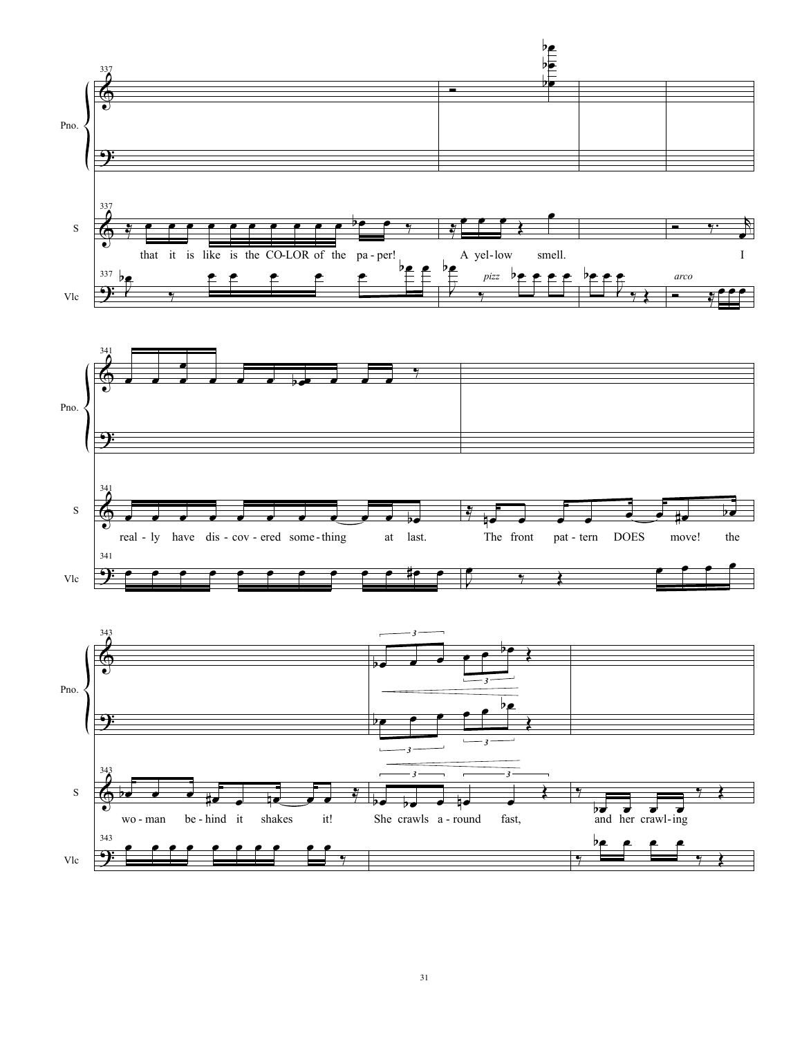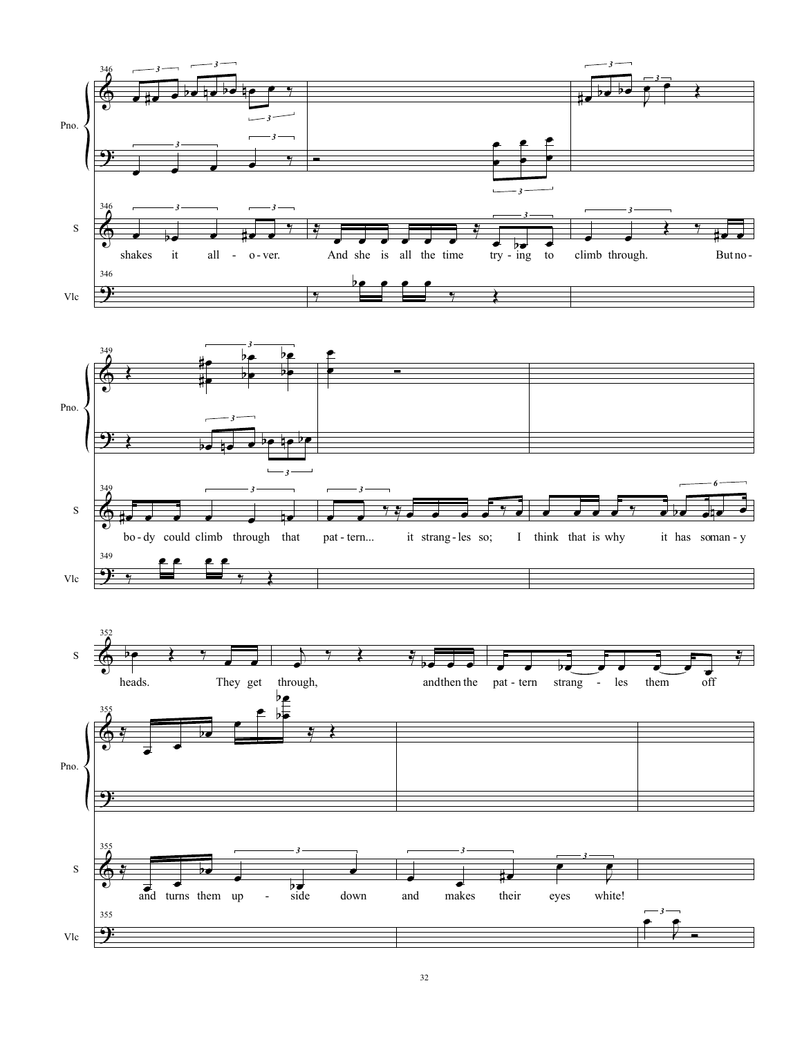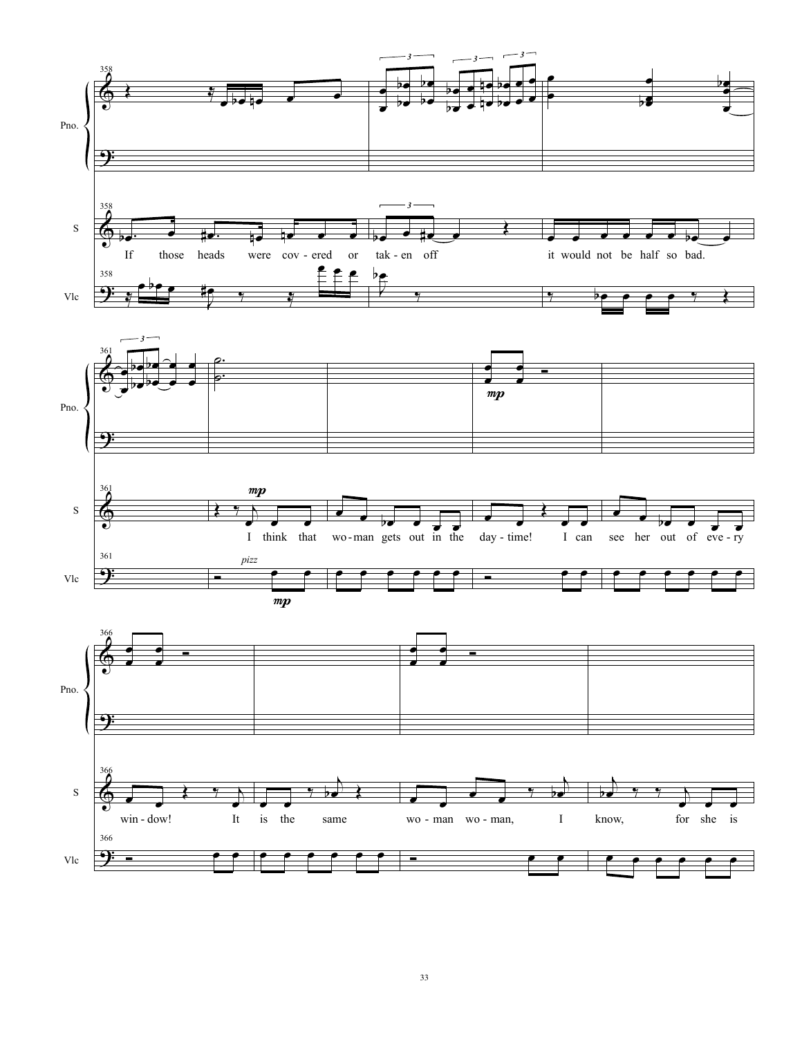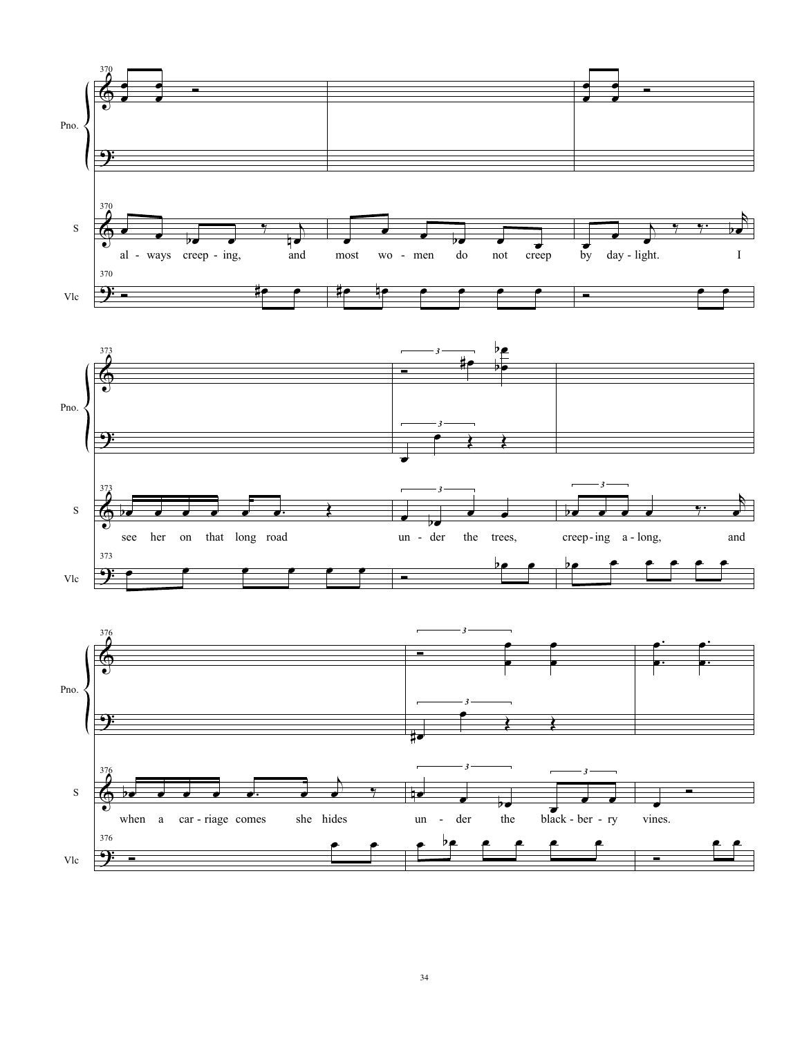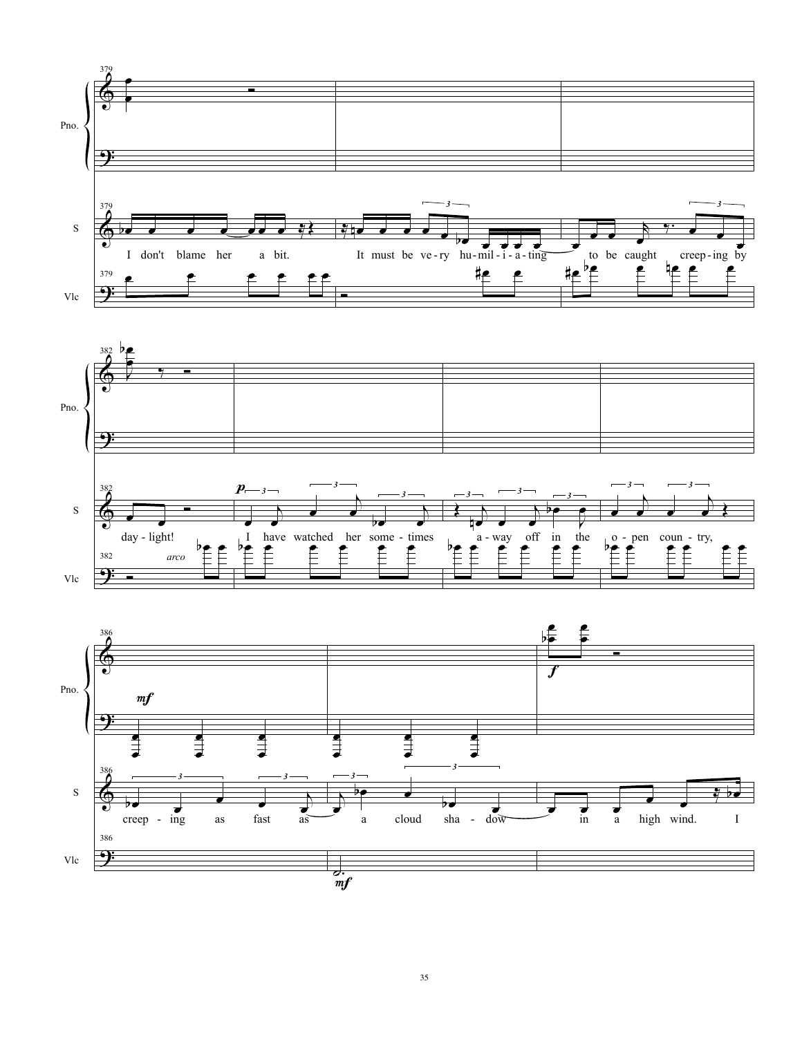



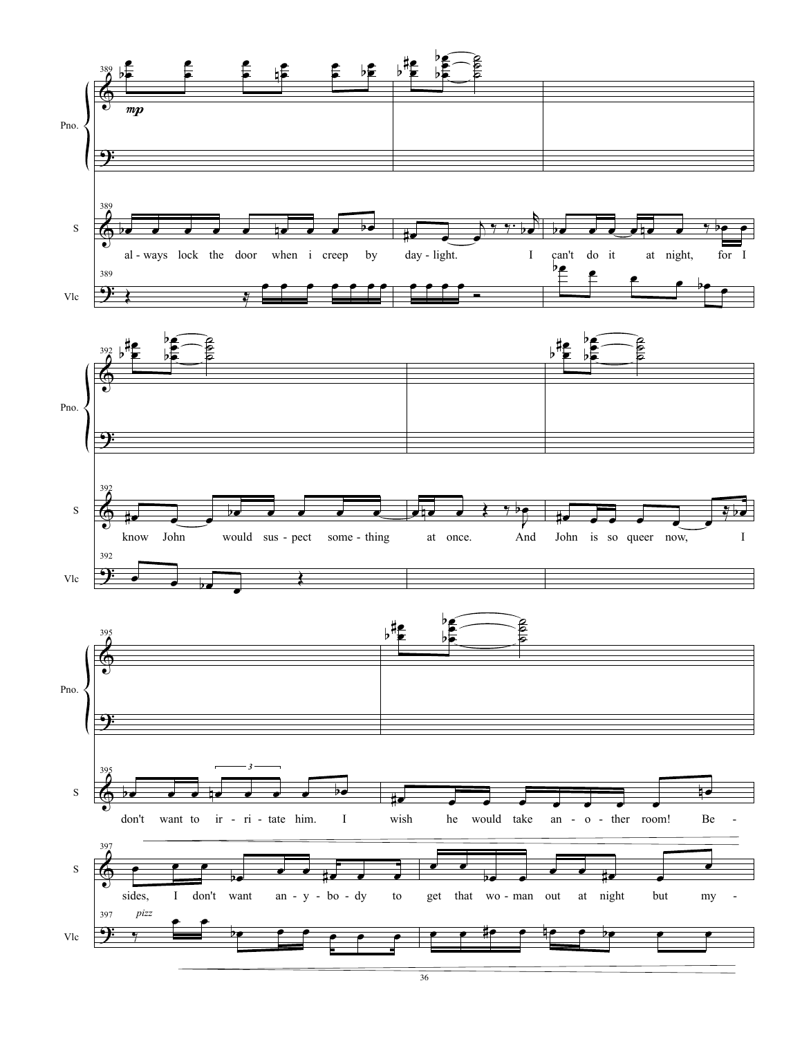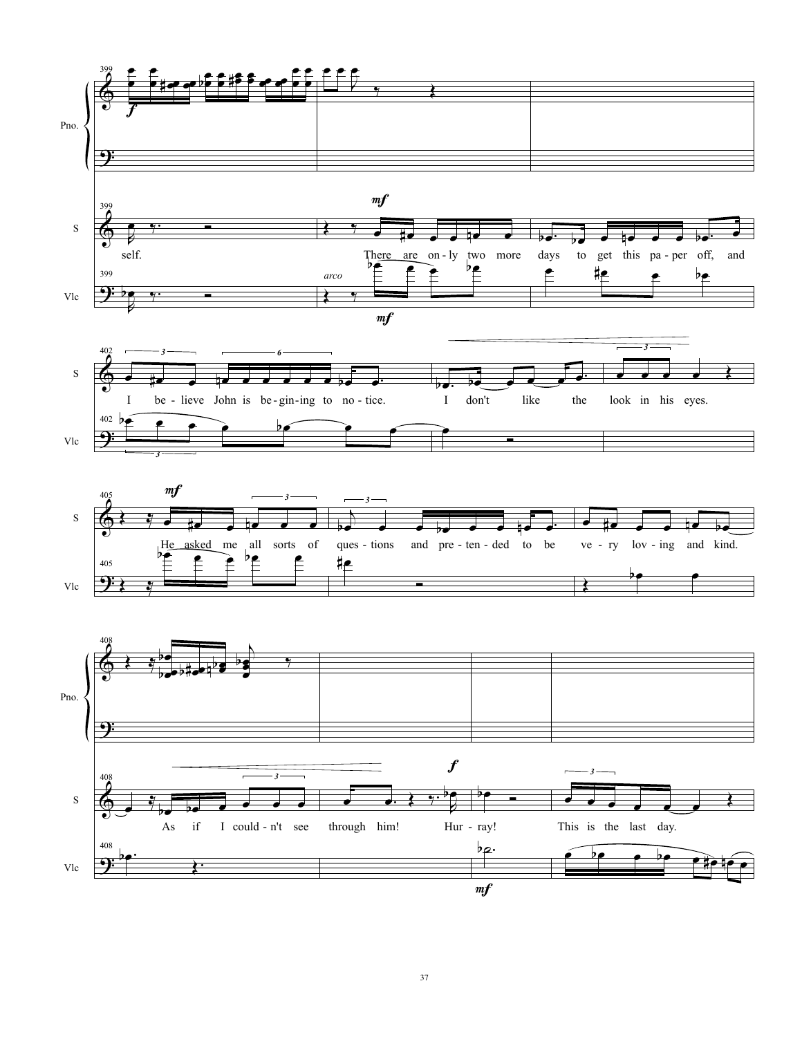



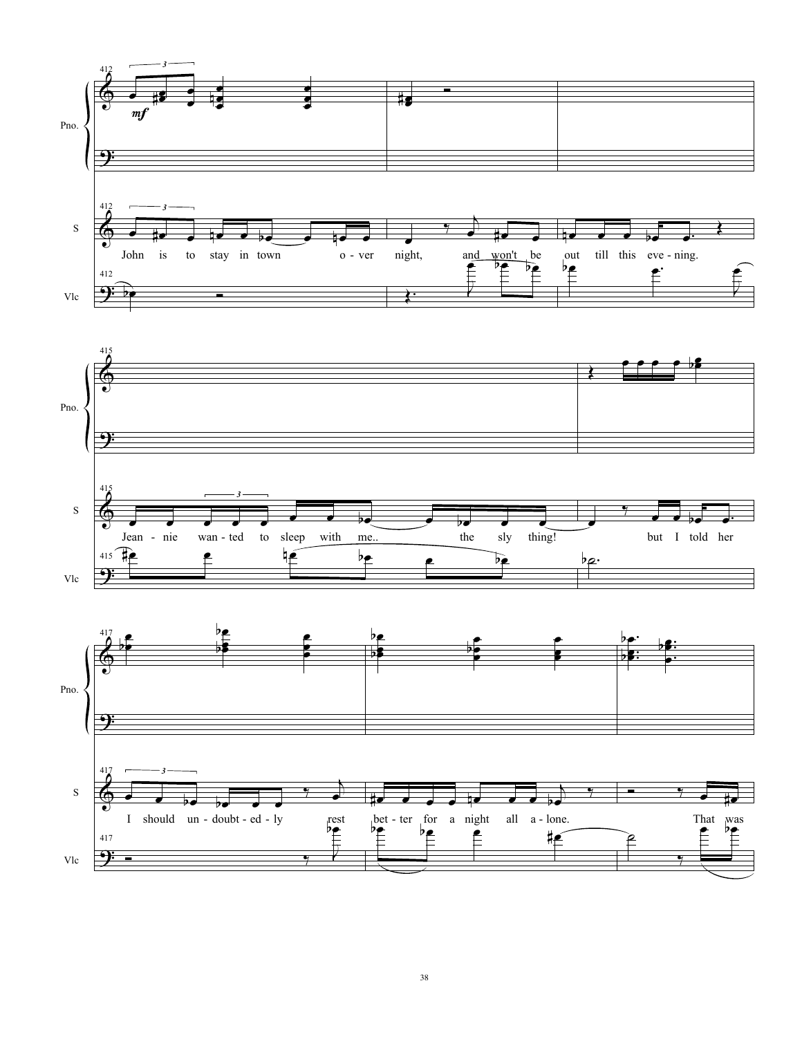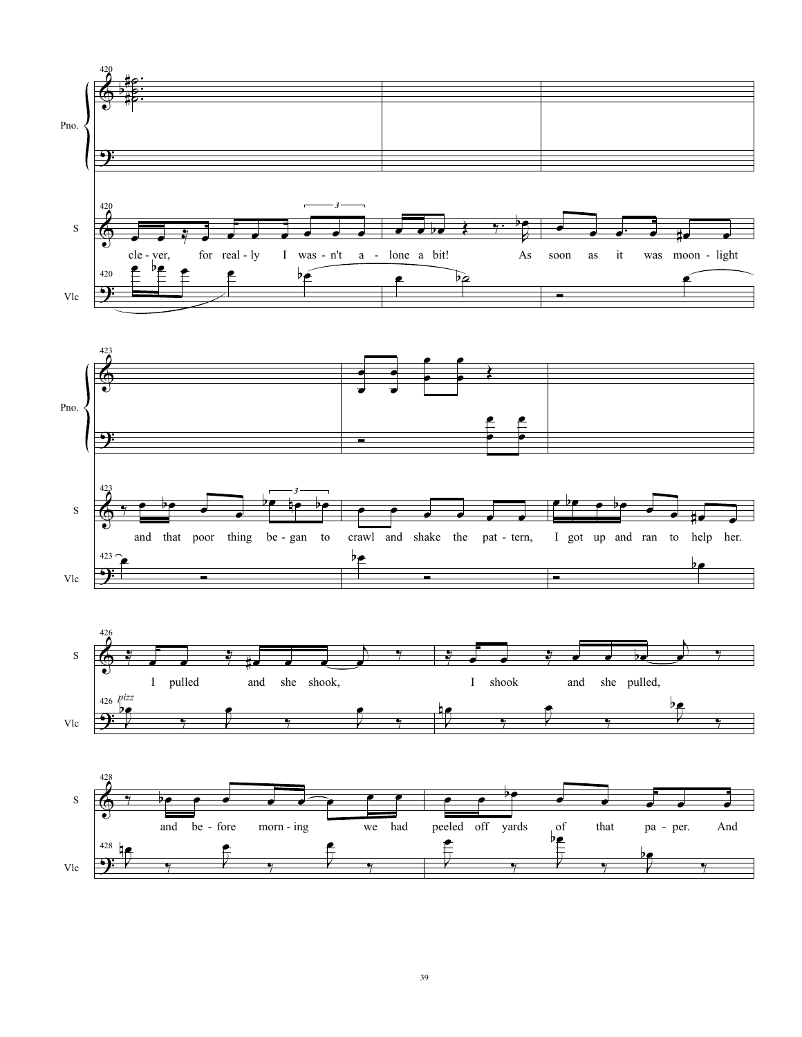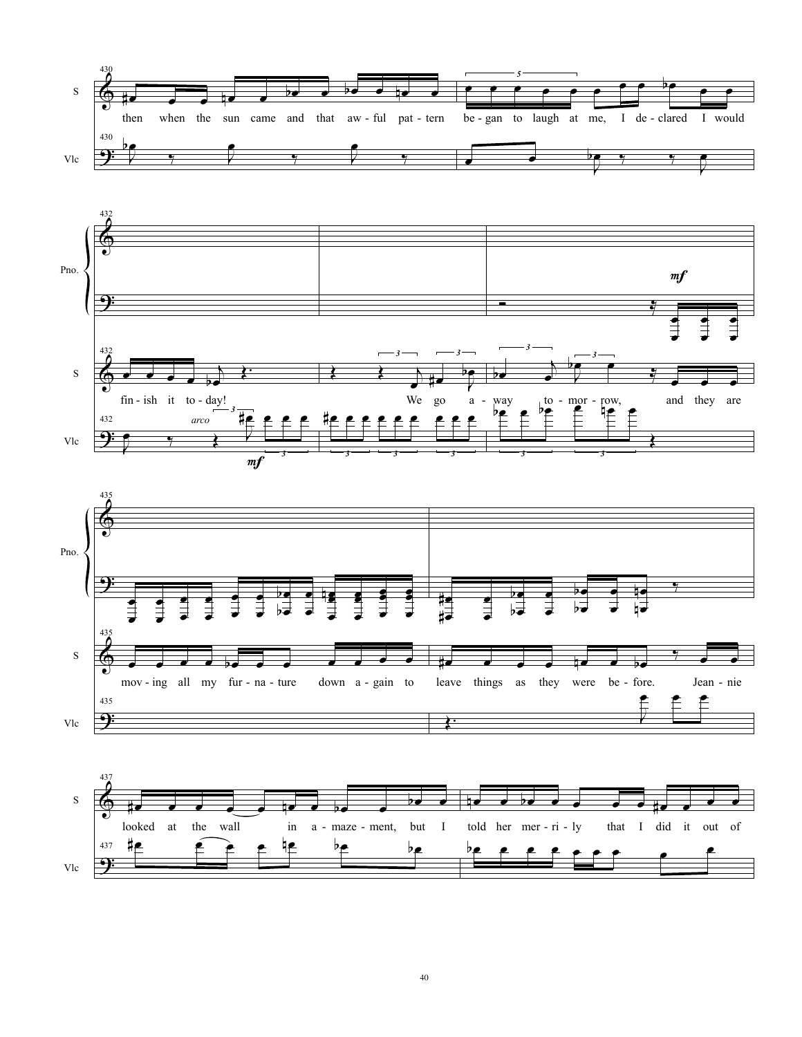





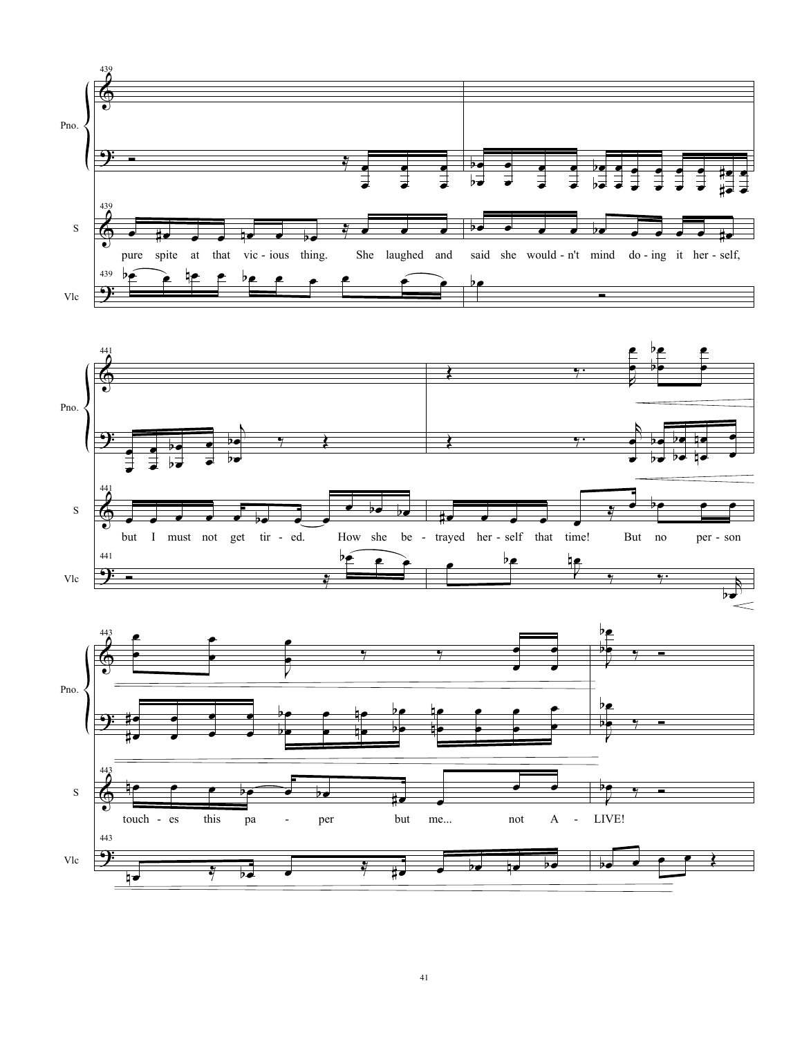



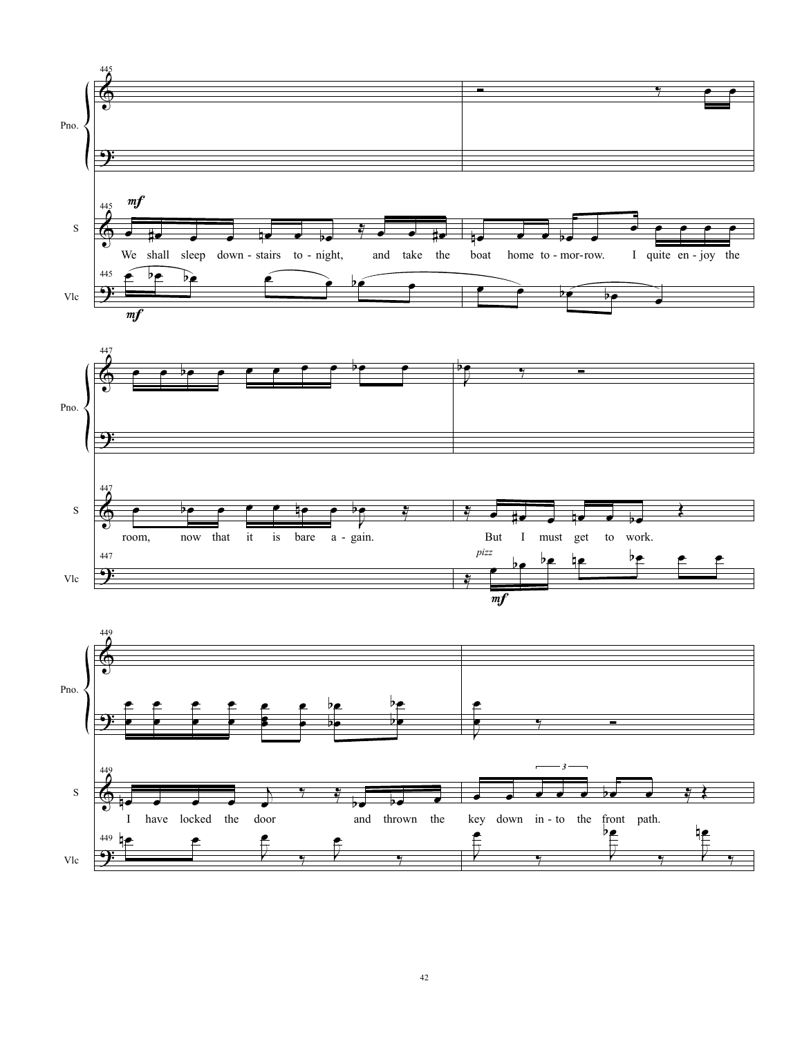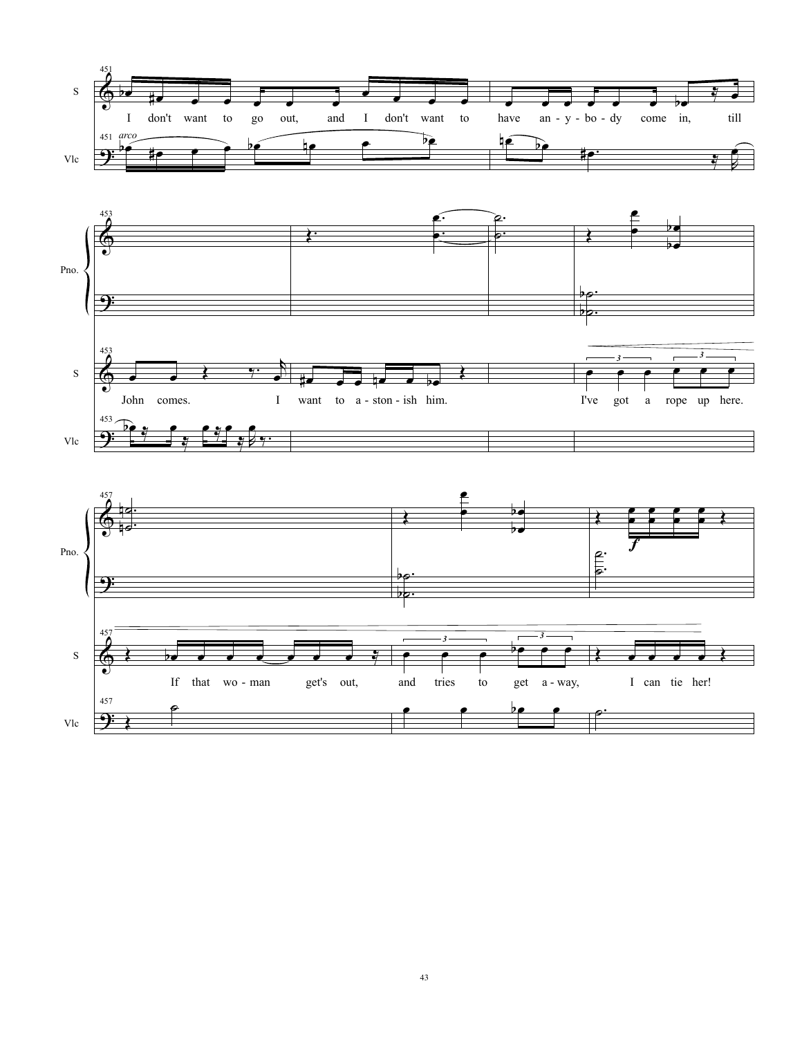



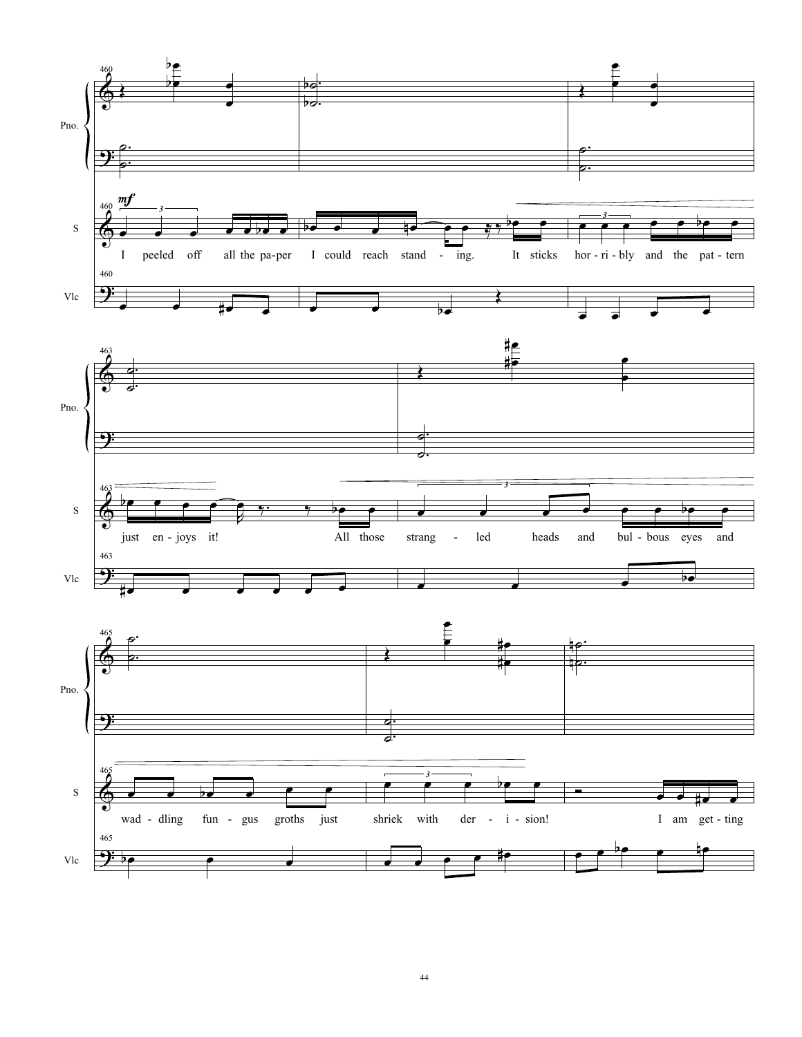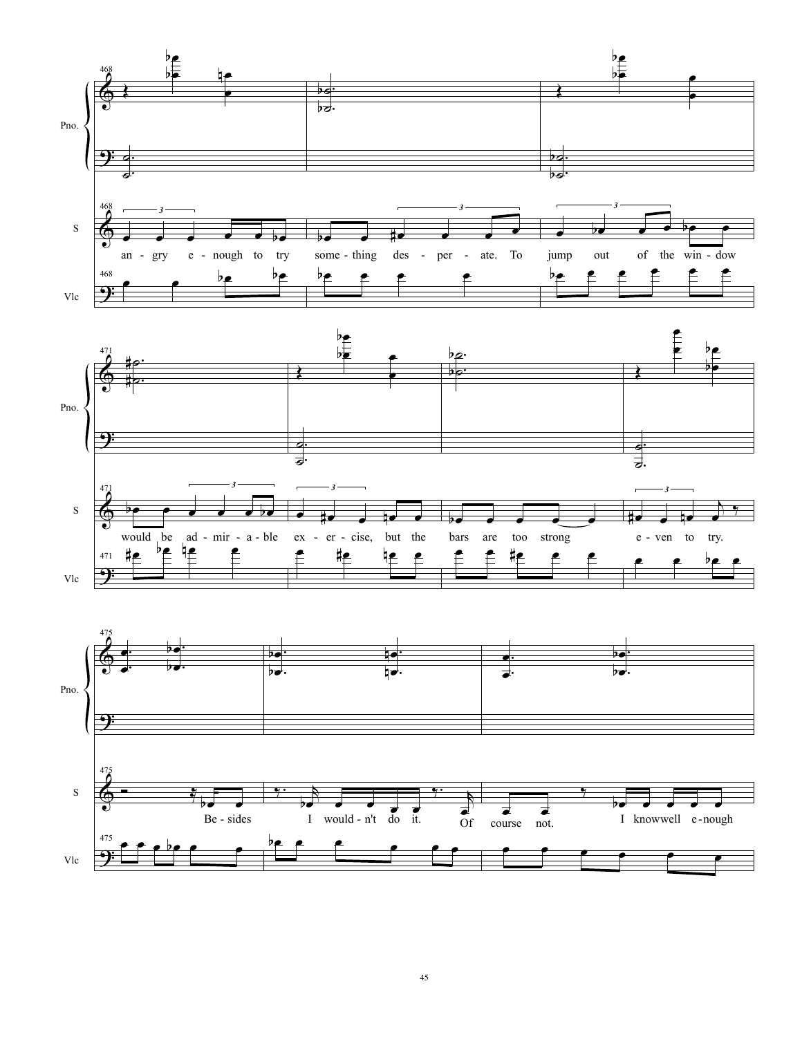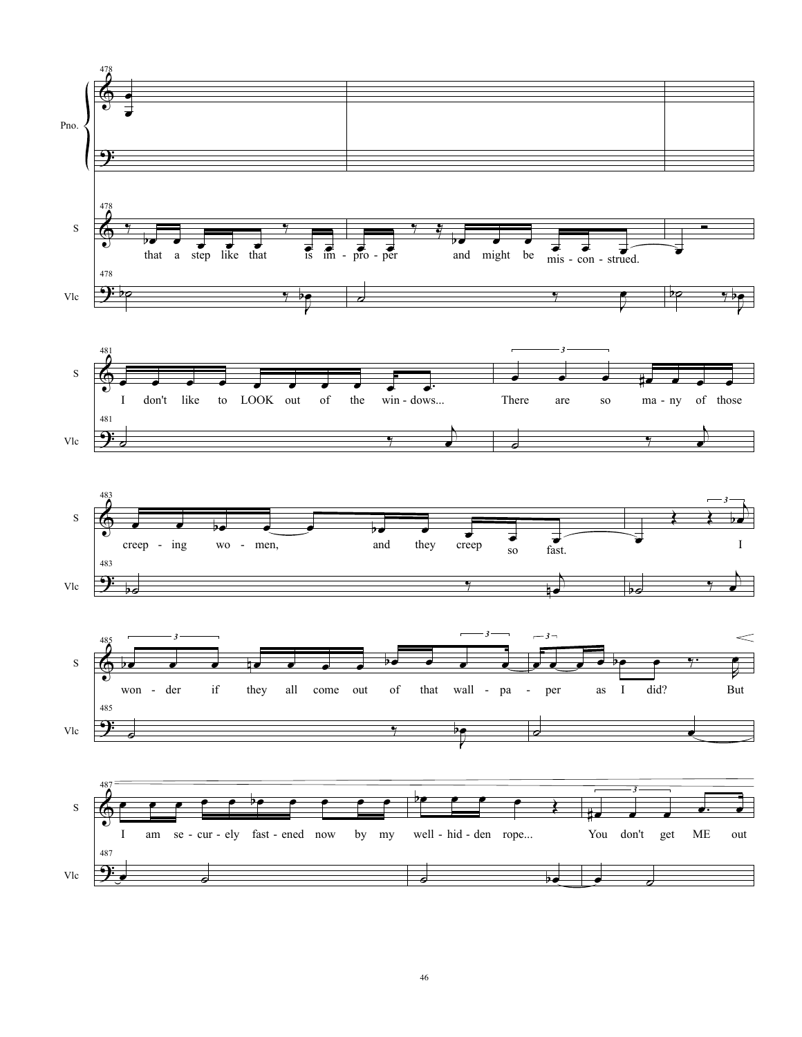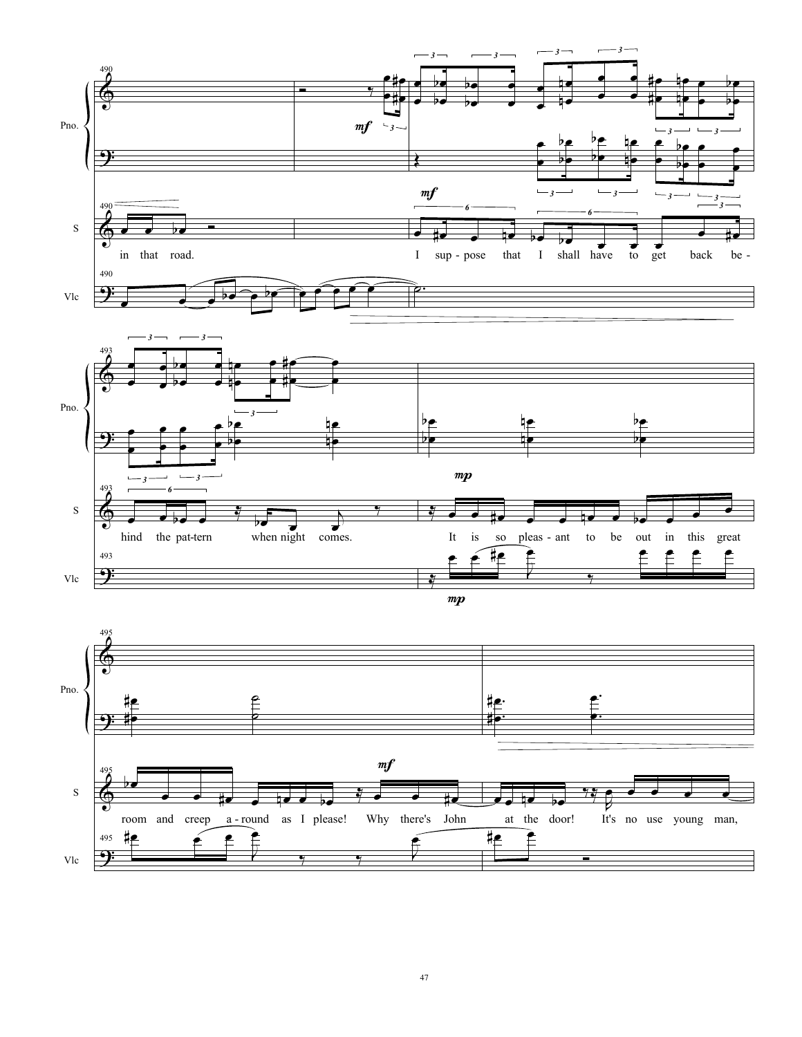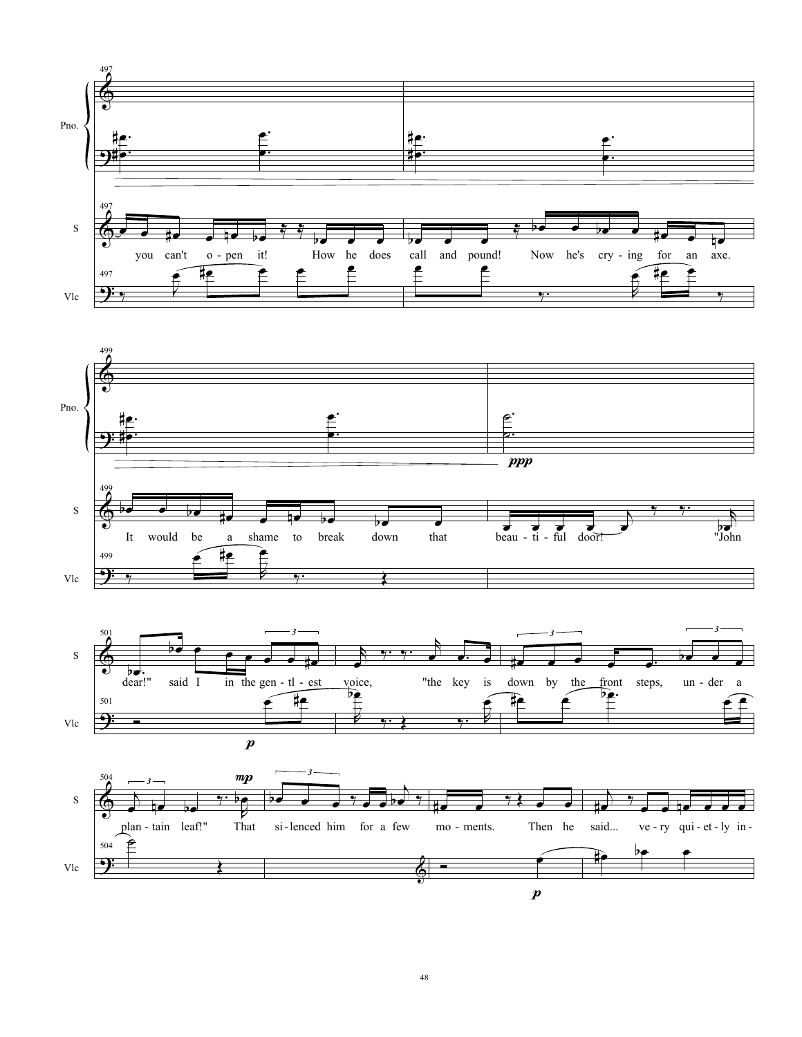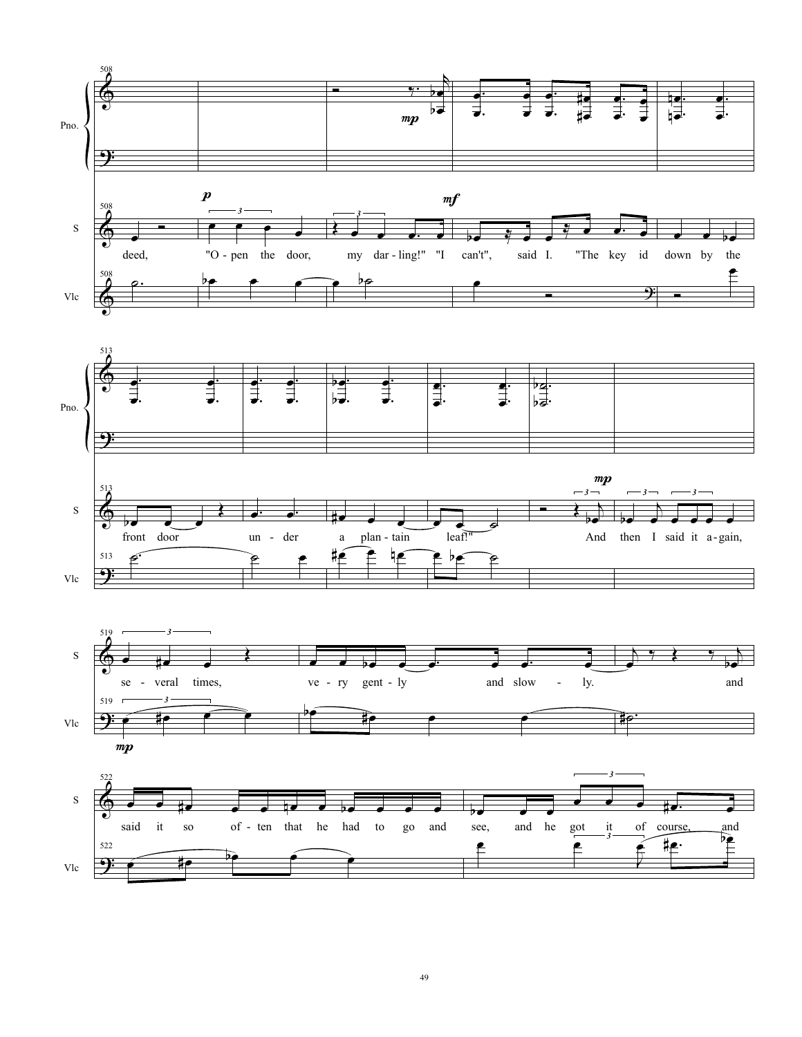

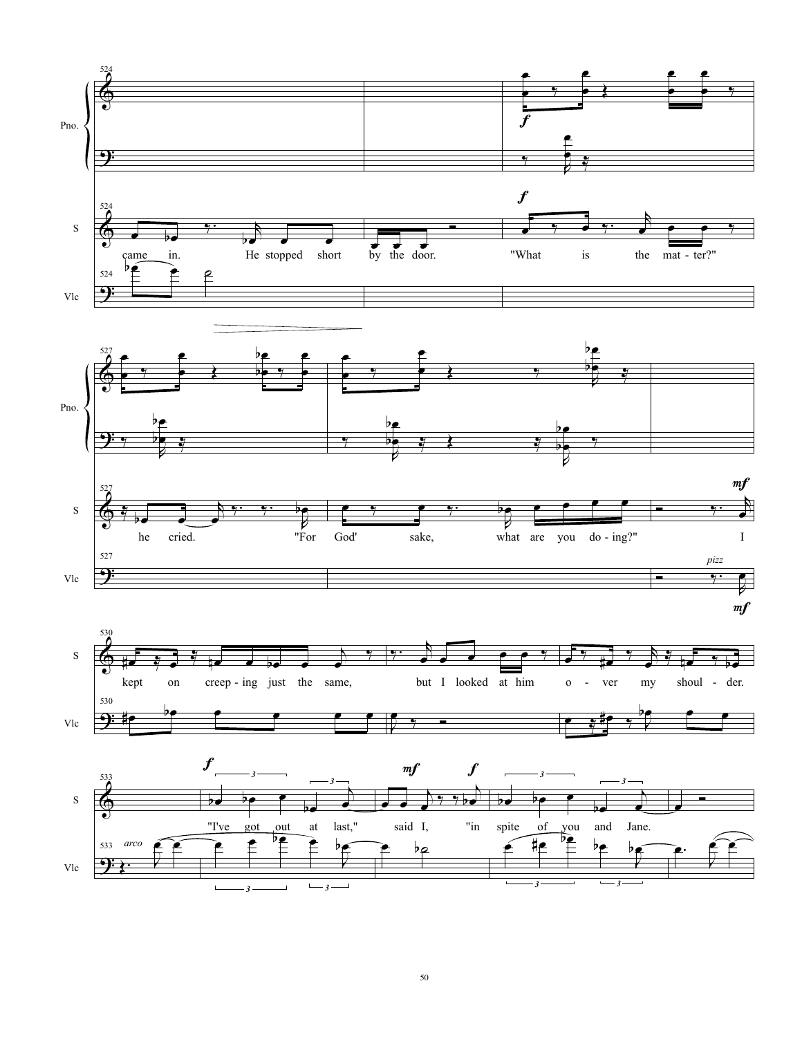